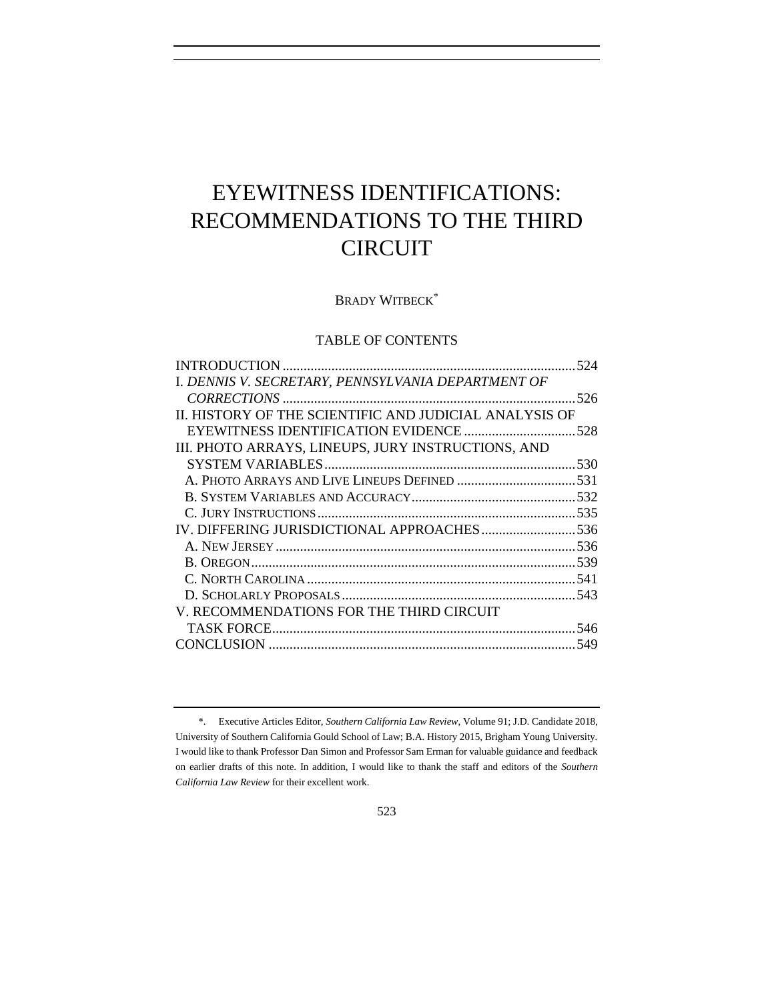# EYEWITNESS IDENTIFICATIONS: RECOMMENDATIONS TO THE THIRD CIRCUIT

BRADY WITBECK<sup>\*</sup>

## TABLE OF CONTENTS

| I. DENNIS V. SECRETARY, PENNSYLVANIA DEPARTMENT OF     |  |
|--------------------------------------------------------|--|
|                                                        |  |
| II. HISTORY OF THE SCIENTIFIC AND JUDICIAL ANALYSIS OF |  |
|                                                        |  |
| III. PHOTO ARRAYS, LINEUPS, JURY INSTRUCTIONS, AND     |  |
|                                                        |  |
|                                                        |  |
|                                                        |  |
|                                                        |  |
|                                                        |  |
|                                                        |  |
|                                                        |  |
|                                                        |  |
|                                                        |  |
| V. RECOMMENDATIONS FOR THE THIRD CIRCUIT               |  |
|                                                        |  |
|                                                        |  |

<span id="page-0-0"></span><sup>\*.</sup> Executive Articles Editor, *Southern California Law Review*, Volume 91; J.D. Candidate 2018, University of Southern California Gould School of Law; B.A. History 2015, Brigham Young University. I would like to thank Professor Dan Simon and Professor Sam Erman for valuable guidance and feedback on earlier drafts of this note. In addition, I would like to thank the staff and editors of the *Southern California Law Review* for their excellent work.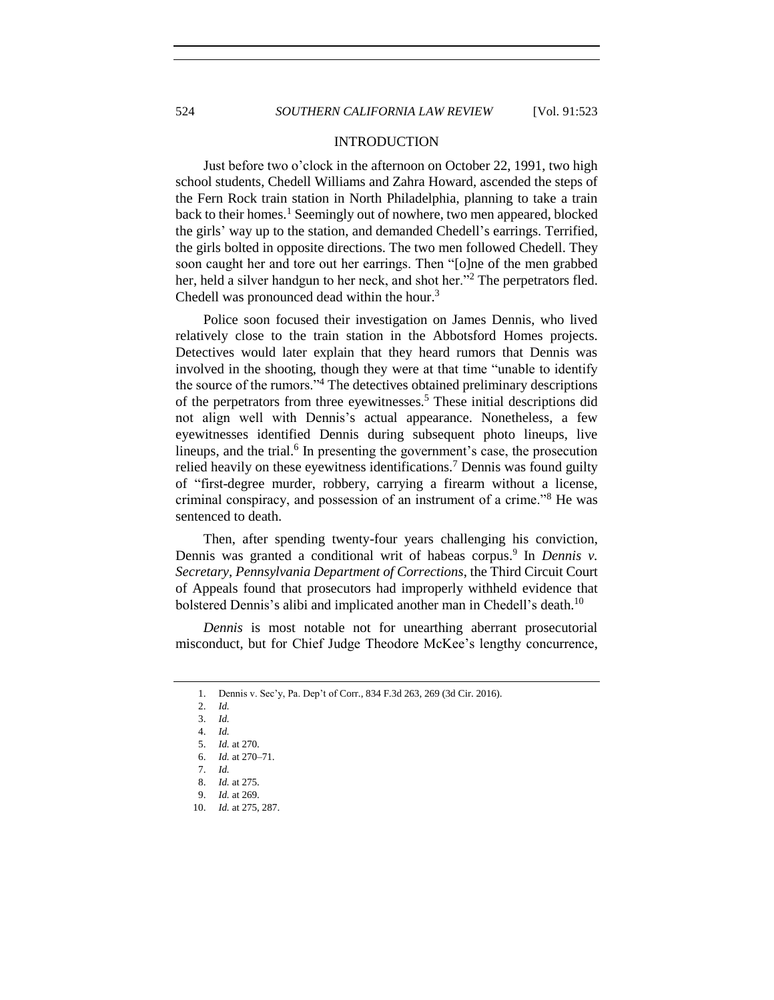#### INTRODUCTION

Just before two o'clock in the afternoon on October 22, 1991, two high school students, Chedell Williams and Zahra Howard, ascended the steps of the Fern Rock train station in North Philadelphia, planning to take a train back to their homes.<sup>1</sup> Seemingly out of nowhere, two men appeared, blocked the girls' way up to the station, and demanded Chedell's earrings. Terrified, the girls bolted in opposite directions. The two men followed Chedell. They soon caught her and tore out her earrings. Then "[o]ne of the men grabbed her, held a silver handgun to her neck, and shot her."<sup>2</sup> The perpetrators fled. Chedell was pronounced dead within the hour.<sup>3</sup>

Police soon focused their investigation on James Dennis, who lived relatively close to the train station in the Abbotsford Homes projects. Detectives would later explain that they heard rumors that Dennis was involved in the shooting, though they were at that time "unable to identify the source of the rumors."<sup>4</sup> The detectives obtained preliminary descriptions of the perpetrators from three eyewitnesses.<sup>5</sup> These initial descriptions did not align well with Dennis's actual appearance. Nonetheless, a few eyewitnesses identified Dennis during subsequent photo lineups, live lineups, and the trial.<sup>6</sup> In presenting the government's case, the prosecution relied heavily on these eyewitness identifications.<sup>7</sup> Dennis was found guilty of "first-degree murder, robbery, carrying a firearm without a license, criminal conspiracy, and possession of an instrument of a crime."<sup>8</sup> He was sentenced to death.

Then, after spending twenty-four years challenging his conviction, Dennis was granted a conditional writ of habeas corpus.<sup>9</sup> In *Dennis v*. *Secretary, Pennsylvania Department of Corrections*, the Third Circuit Court of Appeals found that prosecutors had improperly withheld evidence that bolstered Dennis's alibi and implicated another man in Chedell's death.<sup>10</sup>

*Dennis* is most notable not for unearthing aberrant prosecutorial misconduct, but for Chief Judge Theodore McKee's lengthy concurrence,

<sup>1.</sup> Dennis v. Sec'y, Pa. Dep't of Corr., 834 F.3d 263, 269 (3d Cir. 2016).

<sup>2.</sup> *Id.*

<sup>3.</sup> *Id.*

<sup>4.</sup> *Id.*

<sup>5.</sup> *Id.* at 270.

<sup>6.</sup> *Id.* at 270–71.

<sup>7.</sup> *Id.*

<sup>8.</sup> *Id.* at 275.

<sup>9.</sup> *Id.* at 269.

<sup>10.</sup> *Id.* at 275, 287.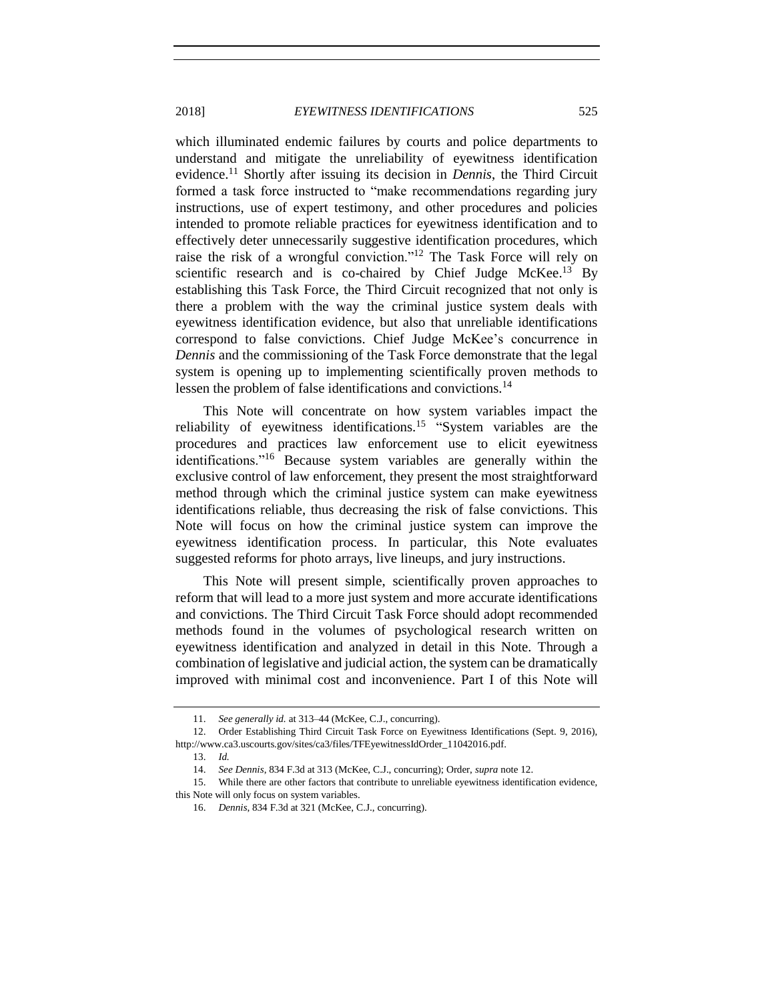#### 2018] *EYEWITNESS IDENTIFICATIONS* 525

<span id="page-2-0"></span>which illuminated endemic failures by courts and police departments to understand and mitigate the unreliability of eyewitness identification evidence.<sup>11</sup> Shortly after issuing its decision in *Dennis*, the Third Circuit formed a task force instructed to "make recommendations regarding jury instructions, use of expert testimony, and other procedures and policies intended to promote reliable practices for eyewitness identification and to effectively deter unnecessarily suggestive identification procedures, which raise the risk of a wrongful conviction."<sup>12</sup> The Task Force will rely on scientific research and is co-chaired by Chief Judge McKee.<sup>13</sup> By establishing this Task Force, the Third Circuit recognized that not only is there a problem with the way the criminal justice system deals with eyewitness identification evidence, but also that unreliable identifications correspond to false convictions. Chief Judge McKee's concurrence in *Dennis* and the commissioning of the Task Force demonstrate that the legal system is opening up to implementing scientifically proven methods to lessen the problem of false identifications and convictions.<sup>14</sup>

This Note will concentrate on how system variables impact the reliability of eyewitness identifications.<sup>15</sup> "System variables are the procedures and practices law enforcement use to elicit eyewitness identifications."<sup>16</sup> Because system variables are generally within the exclusive control of law enforcement, they present the most straightforward method through which the criminal justice system can make eyewitness identifications reliable, thus decreasing the risk of false convictions. This Note will focus on how the criminal justice system can improve the eyewitness identification process. In particular, this Note evaluates suggested reforms for photo arrays, live lineups, and jury instructions.

This Note will present simple, scientifically proven approaches to reform that will lead to a more just system and more accurate identifications and convictions. The Third Circuit Task Force should adopt recommended methods found in the volumes of psychological research written on eyewitness identification and analyzed in detail in this Note. Through a combination of legislative and judicial action, the system can be dramatically improved with minimal cost and inconvenience. Part I of this Note will

13. *Id.*

<sup>11.</sup> *See generally id.* at 313–44 (McKee, C.J., concurring).

<sup>12.</sup> Order Establishing Third Circuit Task Force on Eyewitness Identifications (Sept. 9, 2016), http://www.ca3.uscourts.gov/sites/ca3/files/TFEyewitnessIdOrder\_11042016.pdf.

<sup>14.</sup> *See Dennis*, 834 F.3d at 313 (McKee, C.J., concurring); Order, *supra* not[e 12.](#page-2-0)

<sup>15.</sup> While there are other factors that contribute to unreliable eyewitness identification evidence,

this Note will only focus on system variables.

<sup>16.</sup> *Dennis*, 834 F.3d at 321 (McKee, C.J., concurring).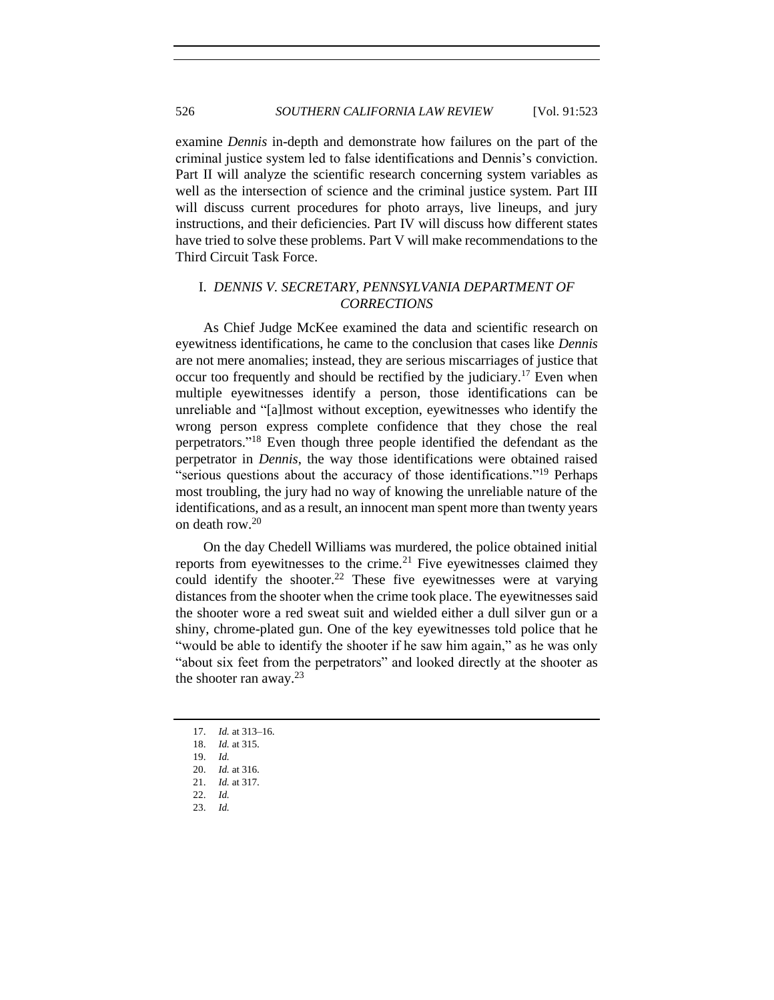examine *Dennis* in-depth and demonstrate how failures on the part of the criminal justice system led to false identifications and Dennis's conviction. Part II will analyze the scientific research concerning system variables as well as the intersection of science and the criminal justice system. Part III will discuss current procedures for photo arrays, live lineups, and jury instructions, and their deficiencies. Part IV will discuss how different states have tried to solve these problems. Part V will make recommendations to the Third Circuit Task Force.

# <span id="page-3-0"></span>I. *DENNIS V. SECRETARY, PENNSYLVANIA DEPARTMENT OF CORRECTIONS*

As Chief Judge McKee examined the data and scientific research on eyewitness identifications, he came to the conclusion that cases like *Dennis* are not mere anomalies; instead, they are serious miscarriages of justice that occur too frequently and should be rectified by the judiciary.<sup>17</sup> Even when multiple eyewitnesses identify a person, those identifications can be unreliable and "[a]lmost without exception, eyewitnesses who identify the wrong person express complete confidence that they chose the real perpetrators." <sup>18</sup> Even though three people identified the defendant as the perpetrator in *Dennis*, the way those identifications were obtained raised "serious questions about the accuracy of those identifications."<sup>19</sup> Perhaps most troubling, the jury had no way of knowing the unreliable nature of the identifications, and as a result, an innocent man spent more than twenty years on death row.<sup>20</sup>

On the day Chedell Williams was murdered, the police obtained initial reports from eyewitnesses to the crime.<sup>21</sup> Five eyewitnesses claimed they could identify the shooter.<sup>22</sup> These five eyewitnesses were at varying distances from the shooter when the crime took place. The eyewitnesses said the shooter wore a red sweat suit and wielded either a dull silver gun or a shiny, chrome-plated gun. One of the key eyewitnesses told police that he "would be able to identify the shooter if he saw him again," as he was only "about six feet from the perpetrators" and looked directly at the shooter as the shooter ran away. $^{23}$ 

<sup>17.</sup> *Id.* at 313–16.

<sup>18.</sup> *Id.* at 315.

<sup>19.</sup> *Id.*

<sup>20.</sup> *Id.* at 316.

<sup>21.</sup> *Id.* at 317. 22. *Id.*

<sup>23.</sup> *Id.*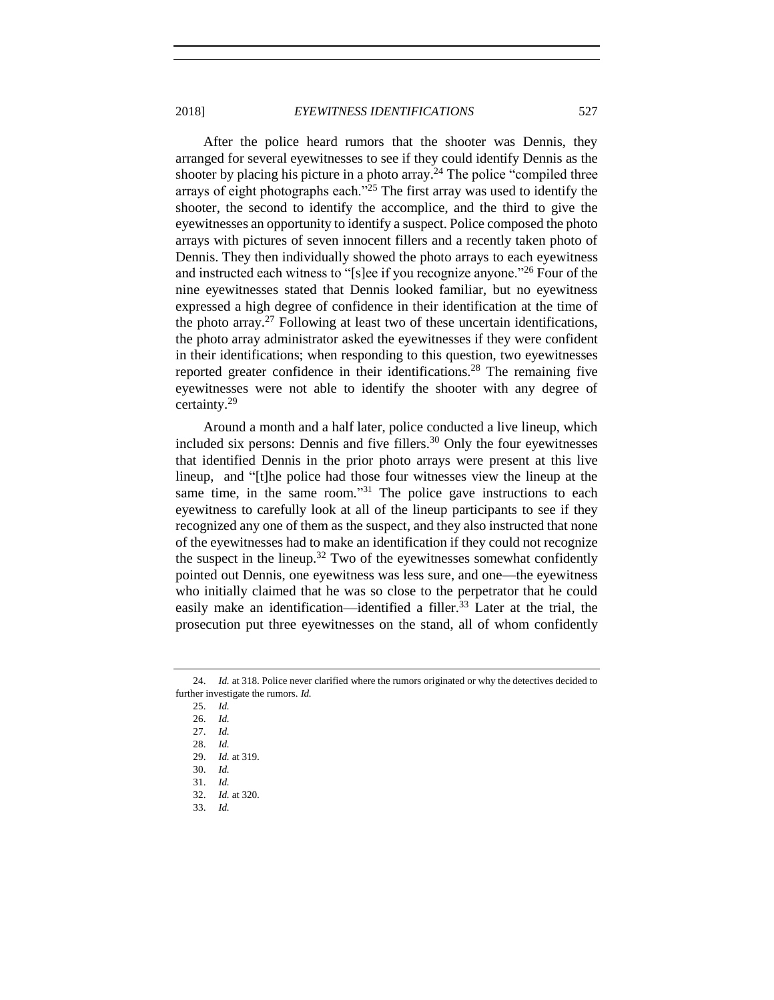2018] *EYEWITNESS IDENTIFICATIONS* 527

After the police heard rumors that the shooter was Dennis, they arranged for several eyewitnesses to see if they could identify Dennis as the shooter by placing his picture in a photo array.<sup>24</sup> The police "compiled three arrays of eight photographs each."<sup>25</sup> The first array was used to identify the shooter, the second to identify the accomplice, and the third to give the eyewitnesses an opportunity to identify a suspect. Police composed the photo arrays with pictures of seven innocent fillers and a recently taken photo of Dennis. They then individually showed the photo arrays to each eyewitness and instructed each witness to "[s]ee if you recognize anyone."<sup>26</sup> Four of the nine eyewitnesses stated that Dennis looked familiar, but no eyewitness expressed a high degree of confidence in their identification at the time of the photo array.<sup>27</sup> Following at least two of these uncertain identifications, the photo array administrator asked the eyewitnesses if they were confident in their identifications; when responding to this question, two eyewitnesses reported greater confidence in their identifications.<sup>28</sup> The remaining five eyewitnesses were not able to identify the shooter with any degree of certainty.<sup>29</sup>

Around a month and a half later, police conducted a live lineup, which included six persons: Dennis and five fillers. $30$  Only the four eyewitnesses that identified Dennis in the prior photo arrays were present at this live lineup, and "[t]he police had those four witnesses view the lineup at the same time, in the same room."<sup>31</sup> The police gave instructions to each eyewitness to carefully look at all of the lineup participants to see if they recognized any one of them as the suspect, and they also instructed that none of the eyewitnesses had to make an identification if they could not recognize the suspect in the lineup.<sup>32</sup> Two of the eyewitnesses somewhat confidently pointed out Dennis, one eyewitness was less sure, and one—the eyewitness who initially claimed that he was so close to the perpetrator that he could easily make an identification—identified a filler.<sup>33</sup> Later at the trial, the prosecution put three eyewitnesses on the stand, all of whom confidently

<sup>24.</sup> *Id.* at 318. Police never clarified where the rumors originated or why the detectives decided to further investigate the rumors. *Id.*

<sup>25.</sup> *Id.*

<sup>26.</sup> *Id.*

<sup>27.</sup> *Id.*

<sup>28.</sup> *Id.*

<sup>29.</sup> *Id.* at 319.

<sup>30.</sup> *Id.*

<sup>31.</sup> *Id.*

<sup>32.</sup> *Id.* at 320.

<sup>33.</sup> *Id.*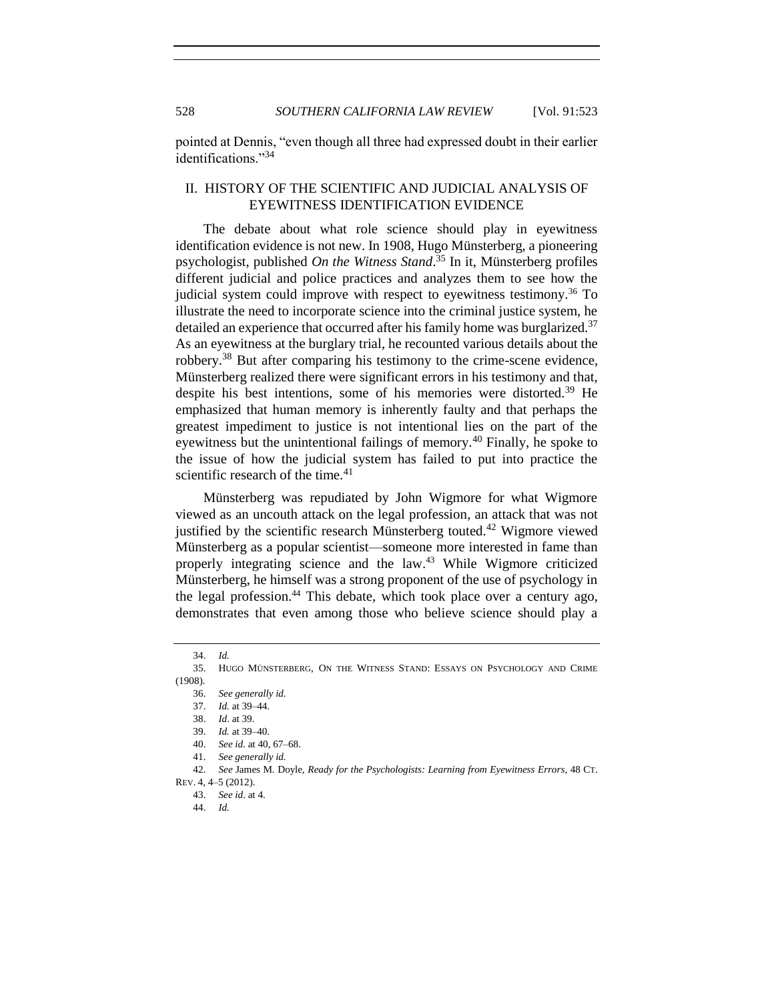528 *SOUTHERN CALIFORNIA LAW REVIEW* [Vol. 91:523

pointed at Dennis, "even though all three had expressed doubt in their earlier identifications."<sup>34</sup>

# <span id="page-5-0"></span>II. HISTORY OF THE SCIENTIFIC AND JUDICIAL ANALYSIS OF EYEWITNESS IDENTIFICATION EVIDENCE

The debate about what role science should play in eyewitness identification evidence is not new. In 1908, Hugo Münsterberg, a pioneering psychologist, published *On the Witness Stand*. <sup>35</sup> In it, Münsterberg profiles different judicial and police practices and analyzes them to see how the judicial system could improve with respect to eyewitness testimony. <sup>36</sup> To illustrate the need to incorporate science into the criminal justice system, he detailed an experience that occurred after his family home was burglarized.<sup>37</sup> As an eyewitness at the burglary trial, he recounted various details about the robbery.<sup>38</sup> But after comparing his testimony to the crime-scene evidence, Münsterberg realized there were significant errors in his testimony and that, despite his best intentions, some of his memories were distorted.<sup>39</sup> He emphasized that human memory is inherently faulty and that perhaps the greatest impediment to justice is not intentional lies on the part of the eyewitness but the unintentional failings of memory.<sup>40</sup> Finally, he spoke to the issue of how the judicial system has failed to put into practice the scientific research of the time. $41$ 

Münsterberg was repudiated by John Wigmore for what Wigmore viewed as an uncouth attack on the legal profession, an attack that was not justified by the scientific research Münsterberg touted.<sup>42</sup> Wigmore viewed Münsterberg as a popular scientist—someone more interested in fame than properly integrating science and the law.<sup>43</sup> While Wigmore criticized Münsterberg, he himself was a strong proponent of the use of psychology in the legal profession.<sup>44</sup> This debate, which took place over a century ago, demonstrates that even among those who believe science should play a

<sup>34.</sup> *Id.*

<sup>35.</sup> HUGO MÜNSTERBERG, ON THE WITNESS STAND: ESSAYS ON PSYCHOLOGY AND CRIME (1908).

<sup>36.</sup> *See generally id.*

<sup>37.</sup> *Id.* at 39–44.

<sup>38.</sup> *Id*. at 39.

<sup>39.</sup> *Id.* at 39–40.

<sup>40.</sup> *See id.* at 40, 67–68.

<sup>41.</sup> *See generally id.*

<sup>42.</sup> *See* James M. Doyle, *Ready for the Psychologists: Learning from Eyewitness Errors*, 48 CT.

REV. 4, 4–5 (2012).

<sup>43.</sup> *See id*. at 4.

<sup>44.</sup> *Id.*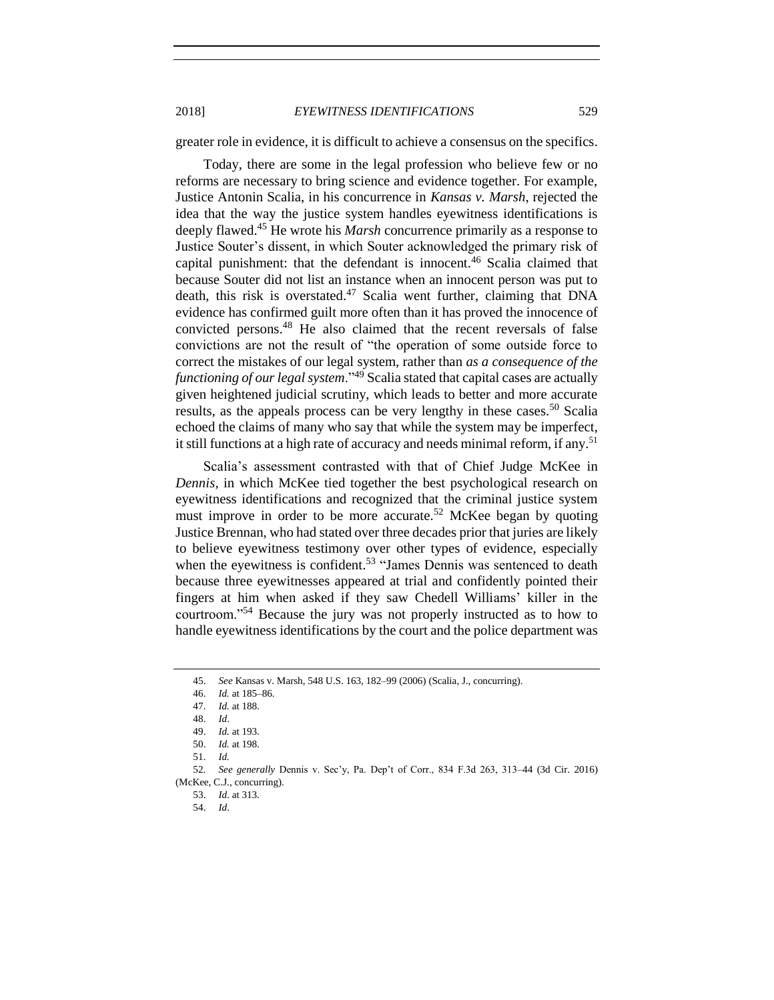2018] *EYEWITNESS IDENTIFICATIONS* 529

greater role in evidence, it is difficult to achieve a consensus on the specifics.

Today, there are some in the legal profession who believe few or no reforms are necessary to bring science and evidence together. For example, Justice Antonin Scalia, in his concurrence in *Kansas v. Marsh*, rejected the idea that the way the justice system handles eyewitness identifications is deeply flawed.<sup>45</sup> He wrote his *Marsh* concurrence primarily as a response to Justice Souter's dissent, in which Souter acknowledged the primary risk of capital punishment: that the defendant is innocent.<sup>46</sup> Scalia claimed that because Souter did not list an instance when an innocent person was put to death, this risk is overstated.<sup>47</sup> Scalia went further, claiming that DNA evidence has confirmed guilt more often than it has proved the innocence of convicted persons.<sup>48</sup> He also claimed that the recent reversals of false convictions are not the result of "the operation of some outside force to correct the mistakes of our legal system, rather than *as a consequence of the functioning of our legal system*."<sup>49</sup> Scalia stated that capital cases are actually given heightened judicial scrutiny, which leads to better and more accurate results, as the appeals process can be very lengthy in these cases.<sup>50</sup> Scalia echoed the claims of many who say that while the system may be imperfect, it still functions at a high rate of accuracy and needs minimal reform, if any. 51

Scalia's assessment contrasted with that of Chief Judge McKee in *Dennis*, in which McKee tied together the best psychological research on eyewitness identifications and recognized that the criminal justice system must improve in order to be more accurate.<sup>52</sup> McKee began by quoting Justice Brennan, who had stated over three decades prior that juries are likely to believe eyewitness testimony over other types of evidence, especially when the eyewitness is confident.<sup>53</sup> "James Dennis was sentenced to death because three eyewitnesses appeared at trial and confidently pointed their fingers at him when asked if they saw Chedell Williams' killer in the courtroom."<sup>54</sup> Because the jury was not properly instructed as to how to handle eyewitness identifications by the court and the police department was

<sup>45.</sup> *See* Kansas v. Marsh, 548 U.S. 163, 182–99 (2006) (Scalia, J., concurring).

<sup>46.</sup> *Id.* at 185–86.

<sup>47.</sup> *Id.* at 188.

<sup>48.</sup> *Id*.

<sup>49.</sup> *Id.* at 193.

<sup>50.</sup> *Id.* at 198.

<sup>51.</sup> *Id.*

<sup>52</sup>*. See generally* Dennis v. Sec'y, Pa. Dep't of Corr., 834 F.3d 263, 313–44 (3d Cir. 2016) (McKee, C.J., concurring).

<sup>53.</sup> *Id*. at 313.

<sup>54.</sup> *Id*.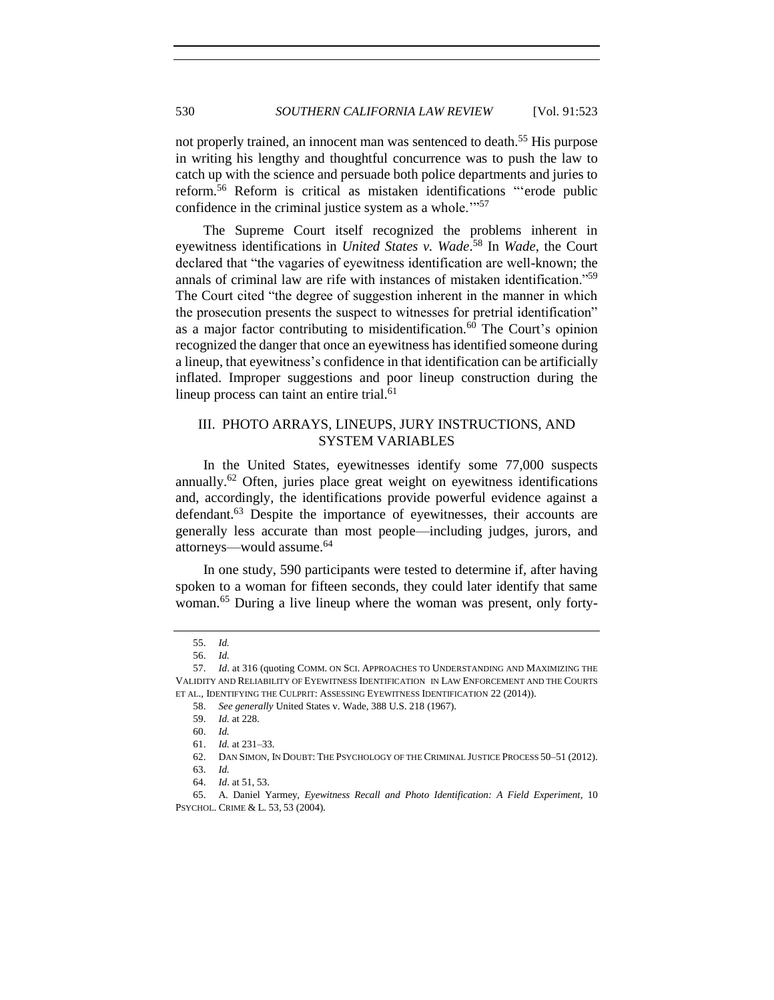not properly trained, an innocent man was sentenced to death.<sup>55</sup> His purpose in writing his lengthy and thoughtful concurrence was to push the law to catch up with the science and persuade both police departments and juries to reform.<sup>56</sup> Reform is critical as mistaken identifications "'erode public confidence in the criminal justice system as a whole."<sup>57</sup>

The Supreme Court itself recognized the problems inherent in eyewitness identifications in *United States v. Wade*. <sup>58</sup> In *Wade*, the Court declared that "the vagaries of eyewitness identification are well-known; the annals of criminal law are rife with instances of mistaken identification."<sup>59</sup> The Court cited "the degree of suggestion inherent in the manner in which the prosecution presents the suspect to witnesses for pretrial identification" as a major factor contributing to misidentification.<sup>60</sup> The Court's opinion recognized the danger that once an eyewitness has identified someone during a lineup, that eyewitness's confidence in that identification can be artificially inflated. Improper suggestions and poor lineup construction during the lineup process can taint an entire trial.<sup>61</sup>

# <span id="page-7-0"></span>III. PHOTO ARRAYS, LINEUPS, JURY INSTRUCTIONS, AND SYSTEM VARIABLES

<span id="page-7-1"></span>In the United States, eyewitnesses identify some 77,000 suspects annually.<sup>62</sup> Often, juries place great weight on eyewitness identifications and, accordingly, the identifications provide powerful evidence against a defendant.<sup>63</sup> Despite the importance of eyewitnesses, their accounts are generally less accurate than most people—including judges, jurors, and attorneys—would assume.<sup>64</sup>

In one study, 590 participants were tested to determine if, after having spoken to a woman for fifteen seconds, they could later identify that same woman.<sup>65</sup> During a live lineup where the woman was present, only forty-

<sup>55.</sup> *Id.*

<sup>56.</sup> *Id.*

<sup>57.</sup> *Id*. at 316 (quoting COMM. ON SCI. APPROACHES TO UNDERSTANDING AND MAXIMIZING THE VALIDITY AND RELIABILITY OF EYEWITNESS IDENTIFICATION IN LAW ENFORCEMENT AND THE COURTS ET AL., IDENTIFYING THE CULPRIT: ASSESSING EYEWITNESS IDENTIFICATION 22 (2014)).

<sup>58.</sup> *See generally* United States v. Wade, 388 U.S. 218 (1967).

<sup>59.</sup> *Id.* at 228.

<sup>60.</sup> *Id.*

<sup>61.</sup> *Id.* at 231–33.

<sup>62.</sup> DAN SIMON, IN DOUBT: THE PSYCHOLOGY OF THE CRIMINAL JUSTICE PROCESS 50–51 (2012).

<sup>63.</sup> *Id.*

<sup>64.</sup> *Id*. at 51, 53.

<sup>65.</sup> A. Daniel Yarmey, *Eyewitness Recall and Photo Identification: A Field Experiment*, 10 PSYCHOL. CRIME & L. 53, 53 (2004).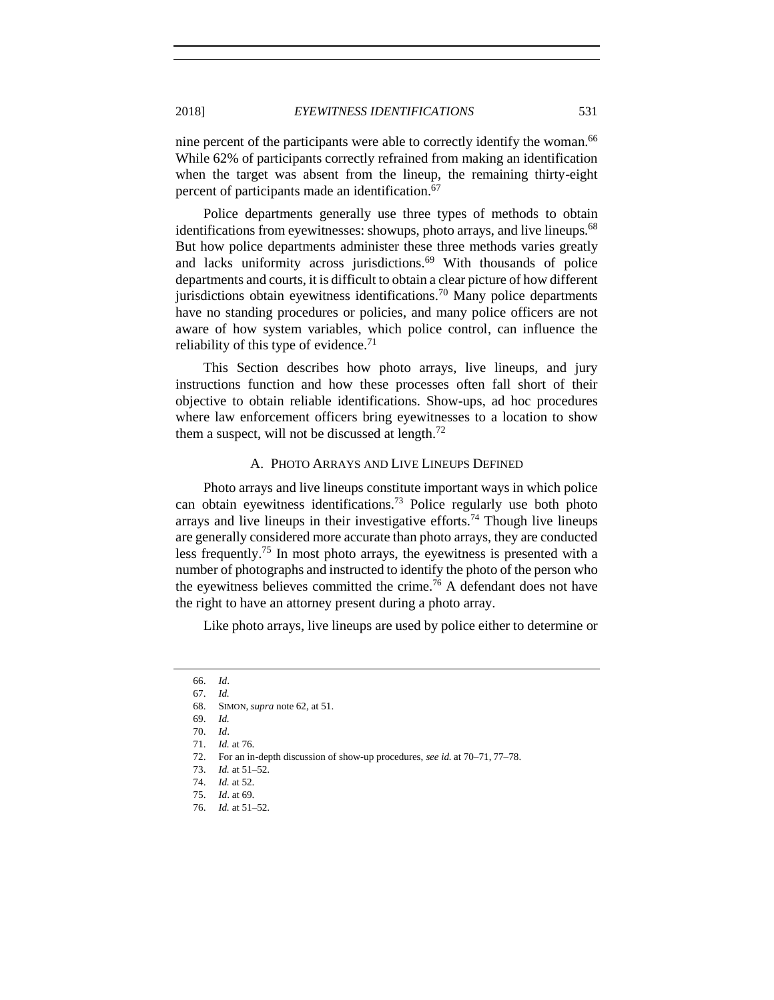nine percent of the participants were able to correctly identify the woman.<sup>66</sup> While 62% of participants correctly refrained from making an identification when the target was absent from the lineup, the remaining thirty-eight percent of participants made an identification.<sup>67</sup>

Police departments generally use three types of methods to obtain identifications from eyewitnesses: showups, photo arrays, and live lineups.<sup>68</sup> But how police departments administer these three methods varies greatly and lacks uniformity across jurisdictions.<sup>69</sup> With thousands of police departments and courts, it is difficult to obtain a clear picture of how different jurisdictions obtain eyewitness identifications.<sup>70</sup> Many police departments have no standing procedures or policies, and many police officers are not aware of how system variables, which police control, can influence the reliability of this type of evidence.<sup>71</sup>

This Section describes how photo arrays, live lineups, and jury instructions function and how these processes often fall short of their objective to obtain reliable identifications. Show-ups, ad hoc procedures where law enforcement officers bring eyewitnesses to a location to show them a suspect, will not be discussed at length. $^{72}$ 

#### A. PHOTO ARRAYS AND LIVE LINEUPS DEFINED

<span id="page-8-0"></span>Photo arrays and live lineups constitute important ways in which police can obtain eyewitness identifications.<sup>73</sup> Police regularly use both photo arrays and live lineups in their investigative efforts.<sup>74</sup> Though live lineups are generally considered more accurate than photo arrays, they are conducted less frequently.<sup>75</sup> In most photo arrays, the eyewitness is presented with a number of photographs and instructed to identify the photo of the person who the eyewitness believes committed the crime.<sup>76</sup> A defendant does not have the right to have an attorney present during a photo array.

Like photo arrays, live lineups are used by police either to determine or

<sup>66.</sup> *Id*.

<sup>67.</sup> *Id.*

<sup>68.</sup> SIMON, *supra* not[e 62,](#page-7-1) at 51.

<sup>69.</sup> *Id.*

<sup>70.</sup> *Id*.

<sup>71.</sup> *Id.* at 76.

<sup>72.</sup> For an in-depth discussion of show-up procedures, *see id.* at 70–71, 77–78.

<sup>73.</sup> *Id.* at 51–52.

<sup>74.</sup> *Id.* at 52.

<sup>75.</sup> *Id*. at 69.

<sup>76.</sup> *Id.* at 51–52.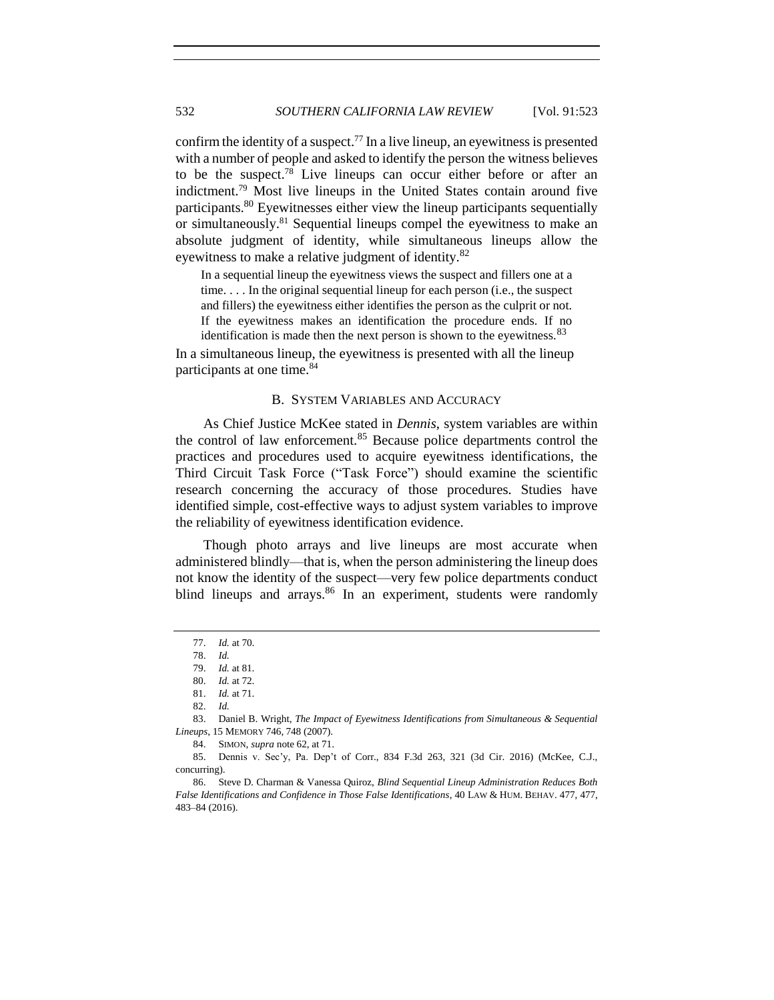confirm the identity of a suspect.<sup>77</sup> In a live lineup, an eyewitness is presented with a number of people and asked to identify the person the witness believes to be the suspect.<sup>78</sup> Live lineups can occur either before or after an indictment.<sup>79</sup> Most live lineups in the United States contain around five participants.<sup>80</sup> Eyewitnesses either view the lineup participants sequentially or simultaneously.<sup>81</sup> Sequential lineups compel the eyewitness to make an absolute judgment of identity, while simultaneous lineups allow the eyewitness to make a relative judgment of identity.<sup>82</sup>

In a sequential lineup the eyewitness views the suspect and fillers one at a time. . . . In the original sequential lineup for each person (i.e., the suspect and fillers) the eyewitness either identifies the person as the culprit or not. If the eyewitness makes an identification the procedure ends. If no identification is made then the next person is shown to the eyewitness. $83$ 

<span id="page-9-0"></span>In a simultaneous lineup, the eyewitness is presented with all the lineup participants at one time.<sup>84</sup>

#### <span id="page-9-1"></span>B. SYSTEM VARIABLES AND ACCURACY

As Chief Justice McKee stated in *Dennis*, system variables are within the control of law enforcement.<sup>85</sup> Because police departments control the practices and procedures used to acquire eyewitness identifications, the Third Circuit Task Force ("Task Force") should examine the scientific research concerning the accuracy of those procedures. Studies have identified simple, cost-effective ways to adjust system variables to improve the reliability of eyewitness identification evidence.

Though photo arrays and live lineups are most accurate when administered blindly—that is, when the person administering the lineup does not know the identity of the suspect—very few police departments conduct blind lineups and arrays. $86$  In an experiment, students were randomly

<span id="page-9-2"></span><sup>77.</sup> *Id.* at 70.

<sup>78.</sup> *Id.*

<sup>79.</sup> *Id.* at 81.

<sup>80.</sup> *Id.* at 72.

<sup>81.</sup> *Id.* at 71.

<sup>82.</sup> *Id.*

<sup>83.</sup> Daniel B. Wright, *The Impact of Eyewitness Identifications from Simultaneous & Sequential Lineups*, 15 MEMORY 746, 748 (2007).

<sup>84.</sup> SIMON, *supra* note [62,](#page-7-1) at 71.

<sup>85.</sup> Dennis v. Sec'y, Pa. Dep't of Corr., 834 F.3d 263, 321 (3d Cir. 2016) (McKee, C.J., concurring).

<sup>86.</sup> Steve D. Charman & Vanessa Quiroz, *Blind Sequential Lineup Administration Reduces Both False Identifications and Confidence in Those False Identifications*, 40 LAW & HUM. BEHAV. 477, 477, 483–84 (2016).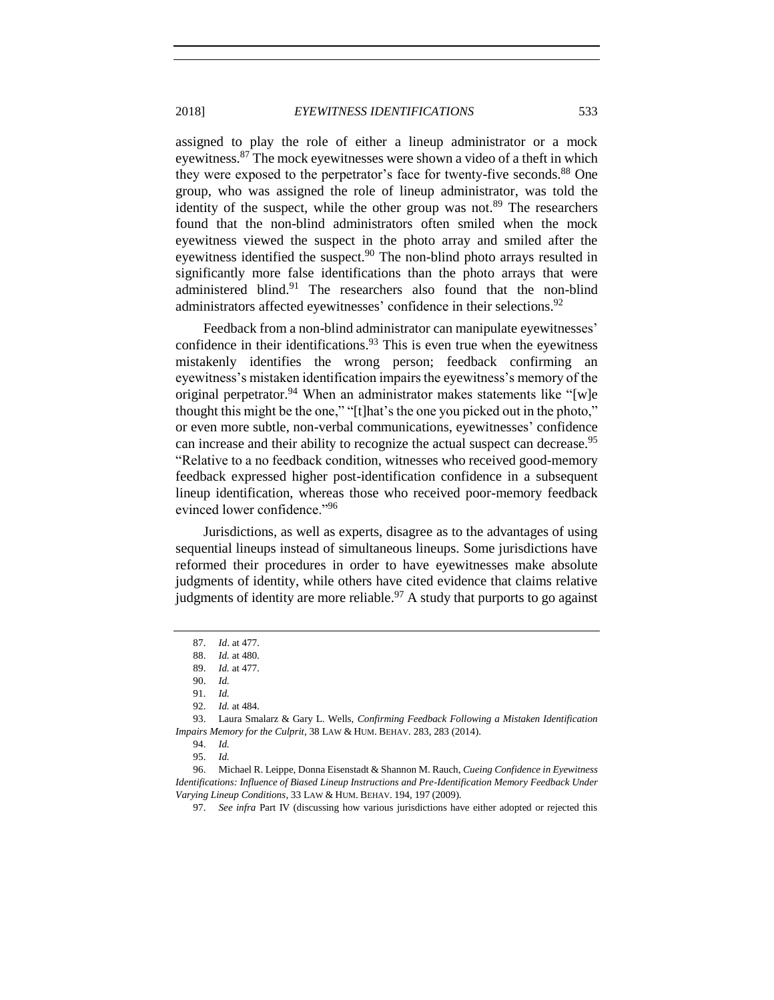assigned to play the role of either a lineup administrator or a mock eyewitness.<sup>87</sup> The mock eyewitnesses were shown a video of a theft in which they were exposed to the perpetrator's face for twenty-five seconds.<sup>88</sup> One group, who was assigned the role of lineup administrator, was told the identity of the suspect, while the other group was not. $89$  The researchers found that the non-blind administrators often smiled when the mock eyewitness viewed the suspect in the photo array and smiled after the eyewitness identified the suspect.<sup>90</sup> The non-blind photo arrays resulted in significantly more false identifications than the photo arrays that were administered blind.<sup>91</sup> The researchers also found that the non-blind administrators affected eyewitnesses' confidence in their selections.<sup>92</sup>

Feedback from a non-blind administrator can manipulate eyewitnesses' confidence in their identifications. $93$  This is even true when the eyewitness mistakenly identifies the wrong person; feedback confirming an eyewitness's mistaken identification impairs the eyewitness's memory of the original perpetrator.<sup>94</sup> When an administrator makes statements like "[w]e thought this might be the one," "[t]hat's the one you picked out in the photo," or even more subtle, non-verbal communications, eyewitnesses' confidence can increase and their ability to recognize the actual suspect can decrease.<sup>95</sup> "Relative to a no feedback condition, witnesses who received good-memory feedback expressed higher post-identification confidence in a subsequent lineup identification, whereas those who received poor-memory feedback evinced lower confidence."<sup>96</sup>

<span id="page-10-0"></span>Jurisdictions, as well as experts, disagree as to the advantages of using sequential lineups instead of simultaneous lineups. Some jurisdictions have reformed their procedures in order to have eyewitnesses make absolute judgments of identity, while others have cited evidence that claims relative judgments of identity are more reliable.<sup>97</sup> A study that purports to go against

<sup>87.</sup> *Id*. at 477.

<sup>88.</sup> *Id.* at 480.

<sup>89.</sup> *Id.* at 477.

<sup>90.</sup> *Id.*

<sup>91.</sup> *Id.*

<sup>92.</sup> *Id.* at 484.

<sup>93.</sup> Laura Smalarz & Gary L. Wells, *Confirming Feedback Following a Mistaken Identification Impairs Memory for the Culprit*, 38 LAW & HUM. BEHAV. 283, 283 (2014).

<sup>94.</sup> *Id.* 95. *Id.*

<sup>96.</sup> Michael R. Leippe, Donna Eisenstadt & Shannon M. Rauch, *Cueing Confidence in Eyewitness Identifications: Influence of Biased Lineup Instructions and Pre-Identification Memory Feedback Under Varying Lineup Conditions*, 33 LAW & HUM. BEHAV. 194, 197 (2009).

<sup>97.</sup> *See infra* Part IV (discussing how various jurisdictions have either adopted or rejected this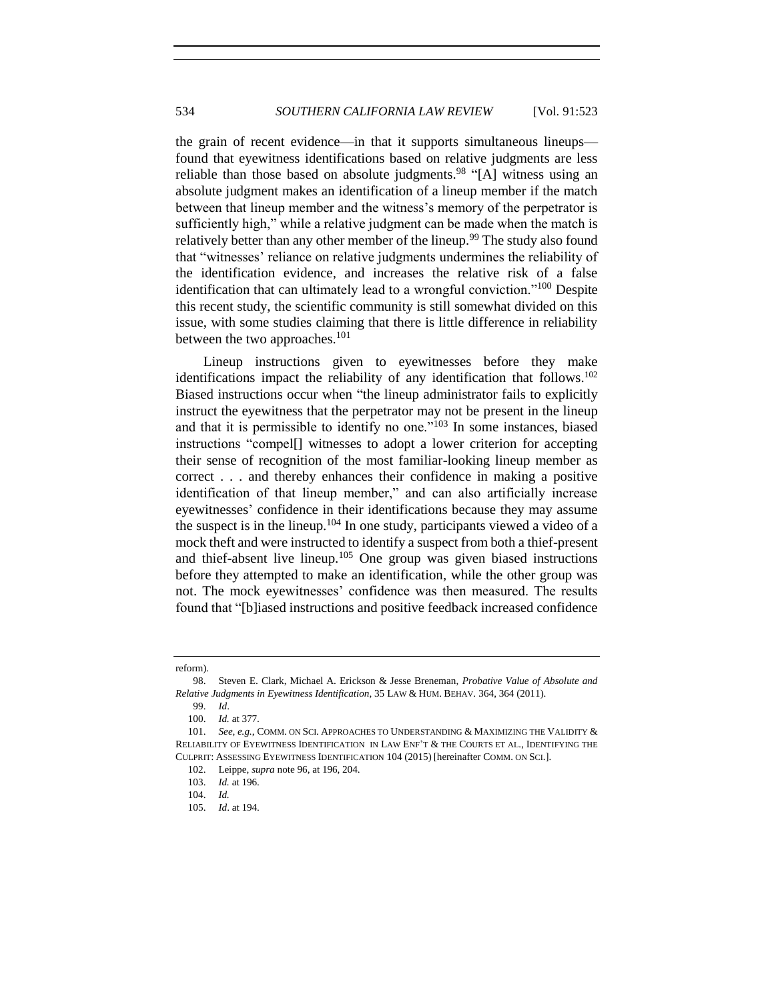the grain of recent evidence—in that it supports simultaneous lineups found that eyewitness identifications based on relative judgments are less reliable than those based on absolute judgments.<sup>98</sup> "[A] witness using an absolute judgment makes an identification of a lineup member if the match between that lineup member and the witness's memory of the perpetrator is sufficiently high," while a relative judgment can be made when the match is relatively better than any other member of the lineup.<sup>99</sup> The study also found that "witnesses' reliance on relative judgments undermines the reliability of the identification evidence, and increases the relative risk of a false identification that can ultimately lead to a wrongful conviction."<sup>100</sup> Despite this recent study, the scientific community is still somewhat divided on this issue, with some studies claiming that there is little difference in reliability between the two approaches.<sup>101</sup>

<span id="page-11-0"></span>Lineup instructions given to eyewitnesses before they make identifications impact the reliability of any identification that follows.<sup>102</sup> Biased instructions occur when "the lineup administrator fails to explicitly instruct the eyewitness that the perpetrator may not be present in the lineup and that it is permissible to identify no one."<sup>103</sup> In some instances, biased instructions "compel[] witnesses to adopt a lower criterion for accepting their sense of recognition of the most familiar-looking lineup member as correct . . . and thereby enhances their confidence in making a positive identification of that lineup member," and can also artificially increase eyewitnesses' confidence in their identifications because they may assume the suspect is in the lineup.<sup>104</sup> In one study, participants viewed a video of a mock theft and were instructed to identify a suspect from both a thief-present and thief-absent live lineup.<sup>105</sup> One group was given biased instructions before they attempted to make an identification, while the other group was not. The mock eyewitnesses' confidence was then measured. The results found that "[b]iased instructions and positive feedback increased confidence

105. *Id*. at 194.

reform).

<sup>98.</sup> Steven E. Clark, Michael A. Erickson & Jesse Breneman, *Probative Value of Absolute and Relative Judgments in Eyewitness Identification*, 35 LAW & HUM. BEHAV. 364, 364 (2011).

<sup>99.</sup> *Id*.

<sup>100.</sup> *Id.* at 377.

<sup>101.</sup> *See, e.g.*, COMM. ON SCI. APPROACHES TO UNDERSTANDING & MAXIMIZING THE VALIDITY & RELIABILITY OF EYEWITNESS IDENTIFICATION IN LAW ENF'T & THE COURTS ET AL., IDENTIFYING THE CULPRIT: ASSESSING EYEWITNESS IDENTIFICATION 104 (2015) [hereinafter COMM. ON SCI.].

<sup>102.</sup> Leippe, *supra* not[e 96,](#page-10-0) at 196, 204.

<sup>103.</sup> *Id.* at 196.

<sup>104.</sup> *Id.*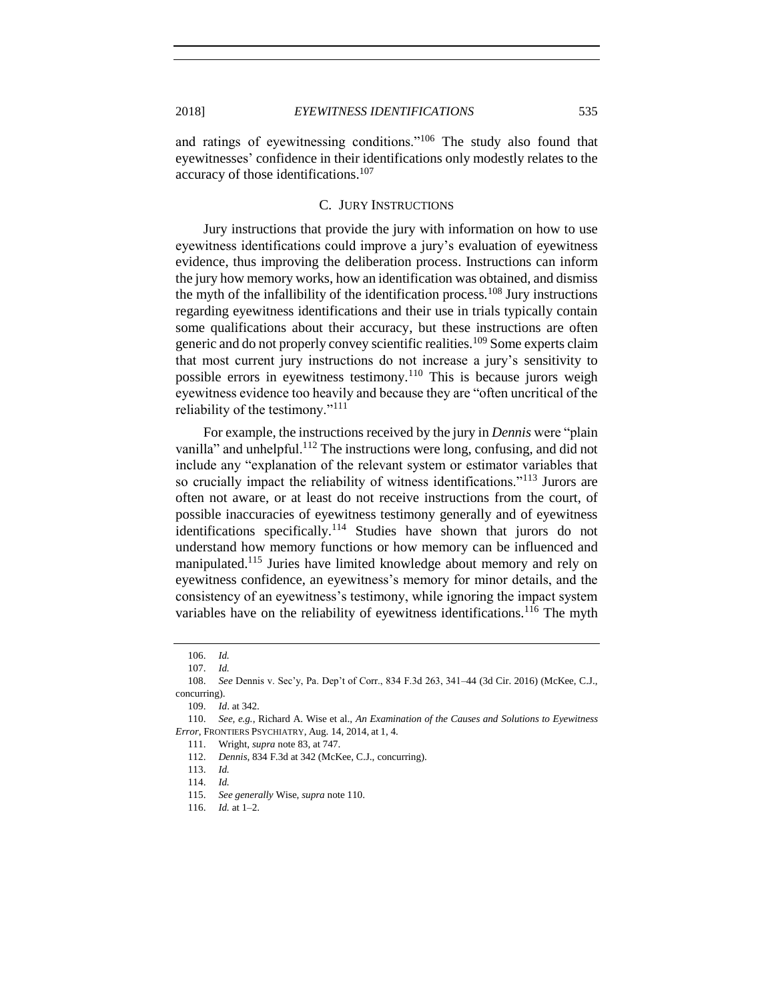and ratings of eyewitnessing conditions."<sup>106</sup> The study also found that eyewitnesses' confidence in their identifications only modestly relates to the accuracy of those identifications. 107

## <span id="page-12-1"></span>C. JURY INSTRUCTIONS

<span id="page-12-0"></span>Jury instructions that provide the jury with information on how to use eyewitness identifications could improve a jury's evaluation of eyewitness evidence, thus improving the deliberation process. Instructions can inform the jury how memory works, how an identification was obtained, and dismiss the myth of the infallibility of the identification process.<sup>108</sup> Jury instructions regarding eyewitness identifications and their use in trials typically contain some qualifications about their accuracy, but these instructions are often generic and do not properly convey scientific realities.<sup>109</sup> Some experts claim that most current jury instructions do not increase a jury's sensitivity to possible errors in eyewitness testimony.<sup>110</sup> This is because jurors weigh eyewitness evidence too heavily and because they are "often uncritical of the reliability of the testimony."<sup>111</sup>

For example, the instructions received by the jury in *Dennis* were "plain vanilla" and unhelpful.<sup>112</sup> The instructions were long, confusing, and did not include any "explanation of the relevant system or estimator variables that so crucially impact the reliability of witness identifications."<sup>113</sup> Jurors are often not aware, or at least do not receive instructions from the court, of possible inaccuracies of eyewitness testimony generally and of eyewitness identifications specifically.<sup>114</sup> Studies have shown that jurors do not understand how memory functions or how memory can be influenced and manipulated.<sup>115</sup> Juries have limited knowledge about memory and rely on eyewitness confidence, an eyewitness's memory for minor details, and the consistency of an eyewitness's testimony, while ignoring the impact system variables have on the reliability of eyewitness identifications.<sup>116</sup> The myth

109. *Id*. at 342.

111. Wright, *supra* not[e 83,](#page-9-1) at 747.

<sup>106.</sup> *Id.*

<sup>107.</sup> *Id.*

<sup>108.</sup> *See* Dennis v. Sec'y, Pa. Dep't of Corr., 834 F.3d 263, 341–44 (3d Cir. 2016) (McKee, C.J., concurring).

<sup>110.</sup> *See, e.g.*, Richard A. Wise et al., *An Examination of the Causes and Solutions to Eyewitness Error*, FRONTIERS PSYCHIATRY, Aug. 14, 2014, at 1, 4.

<sup>112.</sup> *Dennis*, 834 F.3d at 342 (McKee, C.J., concurring).

<sup>113.</sup> *Id.*

<sup>114.</sup> *Id.*

<sup>115.</sup> *See generally* Wise, *supra* not[e 110.](#page-12-1)

<sup>116.</sup> *Id.* at 1–2.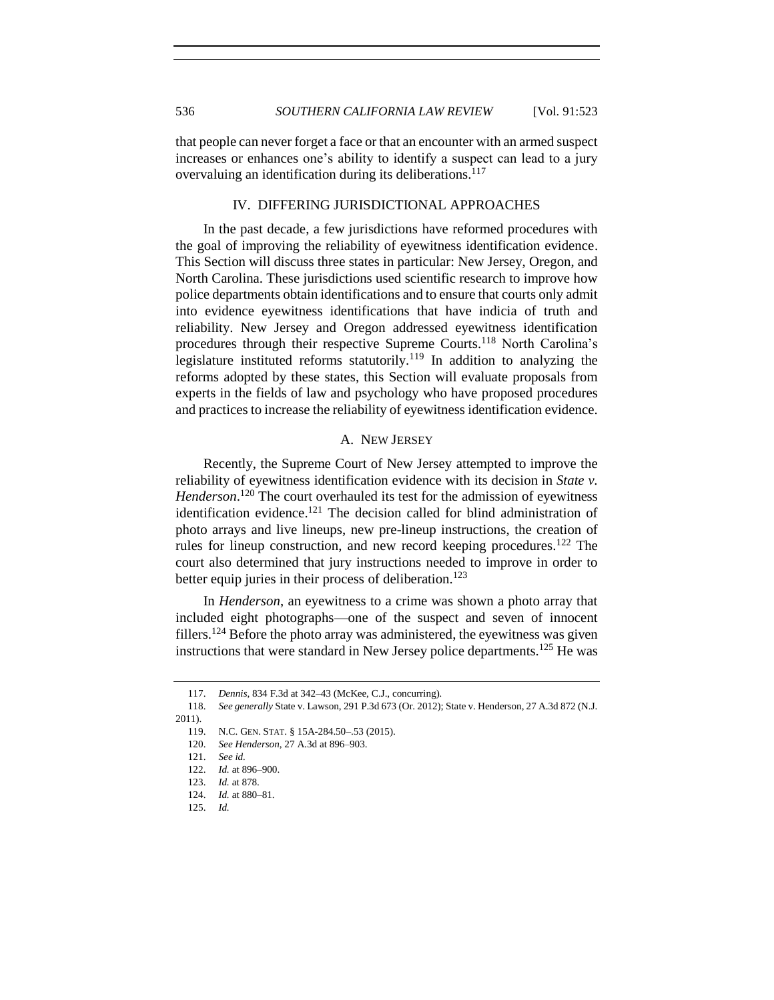that people can never forget a face or that an encounter with an armed suspect increases or enhances one's ability to identify a suspect can lead to a jury overvaluing an identification during its deliberations.<sup>117</sup>

# IV. DIFFERING JURISDICTIONAL APPROACHES

<span id="page-13-0"></span>In the past decade, a few jurisdictions have reformed procedures with the goal of improving the reliability of eyewitness identification evidence. This Section will discuss three states in particular: New Jersey, Oregon, and North Carolina. These jurisdictions used scientific research to improve how police departments obtain identifications and to ensure that courts only admit into evidence eyewitness identifications that have indicia of truth and reliability. New Jersey and Oregon addressed eyewitness identification procedures through their respective Supreme Courts.<sup>118</sup> North Carolina's legislature instituted reforms statutorily.<sup>119</sup> In addition to analyzing the reforms adopted by these states, this Section will evaluate proposals from experts in the fields of law and psychology who have proposed procedures and practices to increase the reliability of eyewitness identification evidence.

## A. NEW JERSEY

<span id="page-13-1"></span>Recently, the Supreme Court of New Jersey attempted to improve the reliability of eyewitness identification evidence with its decision in *State v. Henderson*. <sup>120</sup> The court overhauled its test for the admission of eyewitness identification evidence.<sup>121</sup> The decision called for blind administration of photo arrays and live lineups, new pre-lineup instructions, the creation of rules for lineup construction, and new record keeping procedures.<sup>122</sup> The court also determined that jury instructions needed to improve in order to better equip juries in their process of deliberation.<sup>123</sup>

In *Henderson*, an eyewitness to a crime was shown a photo array that included eight photographs—one of the suspect and seven of innocent fillers.<sup>124</sup> Before the photo array was administered, the eyewitness was given instructions that were standard in New Jersey police departments.<sup>125</sup> He was

<sup>117.</sup> *Dennis*, 834 F.3d at 342–43 (McKee, C.J., concurring)*.*

<sup>118.</sup> *See generally* State v. Lawson, 291 P.3d 673 (Or. 2012); State v. Henderson, 27 A.3d 872 (N.J. 2011).

<sup>119.</sup> N.C. GEN. STAT. § 15A-284.50–.53 (2015).

<sup>120.</sup> *See Henderson*, 27 A.3d at 896–903.

<sup>121.</sup> *See id.*

<sup>122.</sup> *Id.* at 896–900.

<sup>123.</sup> *Id.* at 878.

<sup>124.</sup> *Id.* at 880–81.

<sup>125.</sup> *Id.*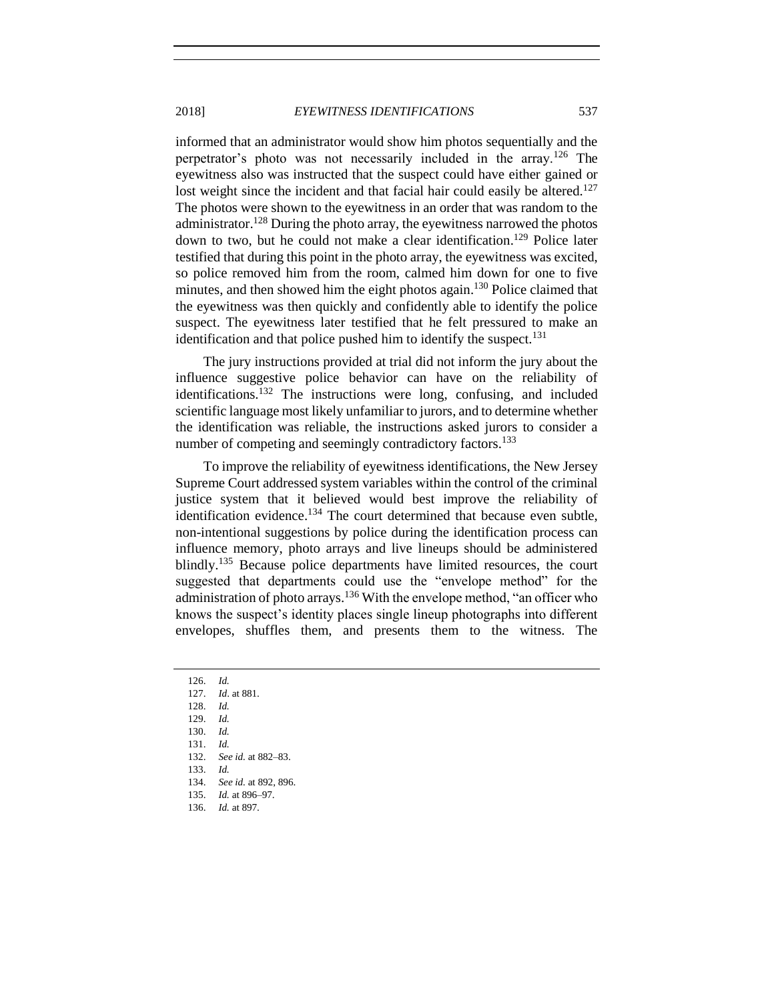informed that an administrator would show him photos sequentially and the perpetrator's photo was not necessarily included in the array.<sup>126</sup> The eyewitness also was instructed that the suspect could have either gained or lost weight since the incident and that facial hair could easily be altered.<sup>127</sup> The photos were shown to the eyewitness in an order that was random to the administrator.<sup>128</sup> During the photo array, the eyewitness narrowed the photos down to two, but he could not make a clear identification. <sup>129</sup> Police later testified that during this point in the photo array, the eyewitness was excited, so police removed him from the room, calmed him down for one to five minutes, and then showed him the eight photos again.<sup>130</sup> Police claimed that the eyewitness was then quickly and confidently able to identify the police suspect. The eyewitness later testified that he felt pressured to make an identification and that police pushed him to identify the suspect.<sup>131</sup>

The jury instructions provided at trial did not inform the jury about the influence suggestive police behavior can have on the reliability of identifications.<sup>132</sup> The instructions were long, confusing, and included scientific language most likely unfamiliar to jurors, and to determine whether the identification was reliable, the instructions asked jurors to consider a number of competing and seemingly contradictory factors.<sup>133</sup>

To improve the reliability of eyewitness identifications, the New Jersey Supreme Court addressed system variables within the control of the criminal justice system that it believed would best improve the reliability of identification evidence.<sup>134</sup> The court determined that because even subtle, non-intentional suggestions by police during the identification process can influence memory, photo arrays and live lineups should be administered blindly.<sup>135</sup> Because police departments have limited resources, the court suggested that departments could use the "envelope method" for the administration of photo arrays.<sup>136</sup> With the envelope method, "an officer who knows the suspect's identity places single lineup photographs into different envelopes, shuffles them, and presents them to the witness. The

129. *Id.*

130. *Id.*

131. *Id.*

- 132. *See id.* at 882–83.
- 133. *Id.*

<sup>126.</sup> *Id.*

<sup>127.</sup> *Id*. at 881.

<sup>128.</sup> *Id.*

<sup>134.</sup> *See id.* at 892, 896.

<sup>135.</sup> *Id.* at 896–97. 136. *Id.* at 897.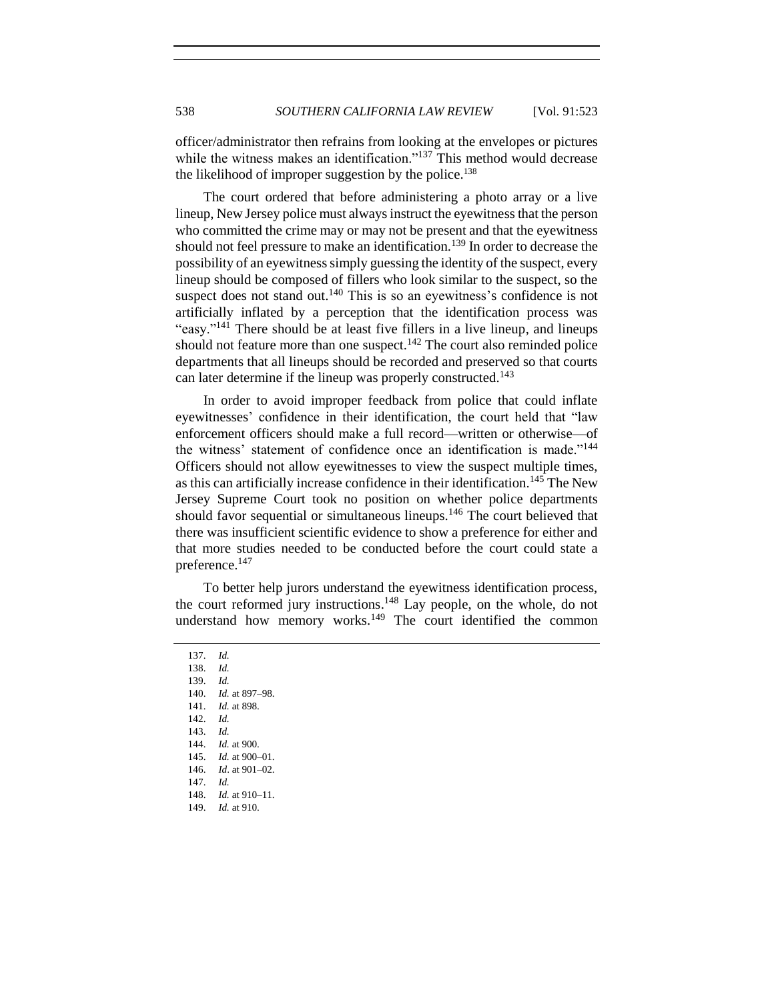officer/administrator then refrains from looking at the envelopes or pictures while the witness makes an identification."<sup>137</sup> This method would decrease the likelihood of improper suggestion by the police.<sup>138</sup>

The court ordered that before administering a photo array or a live lineup, New Jersey police must always instruct the eyewitness that the person who committed the crime may or may not be present and that the eyewitness should not feel pressure to make an identification.<sup>139</sup> In order to decrease the possibility of an eyewitness simply guessing the identity of the suspect, every lineup should be composed of fillers who look similar to the suspect, so the suspect does not stand out.<sup>140</sup> This is so an eyewitness's confidence is not artificially inflated by a perception that the identification process was "easy."<sup>141</sup> There should be at least five fillers in a live lineup, and lineups should not feature more than one suspect.<sup>142</sup> The court also reminded police departments that all lineups should be recorded and preserved so that courts can later determine if the lineup was properly constructed.<sup>143</sup>

In order to avoid improper feedback from police that could inflate eyewitnesses' confidence in their identification, the court held that "law enforcement officers should make a full record—written or otherwise—of the witness' statement of confidence once an identification is made."<sup>144</sup> Officers should not allow eyewitnesses to view the suspect multiple times, as this can artificially increase confidence in their identification.<sup>145</sup> The New Jersey Supreme Court took no position on whether police departments should favor sequential or simultaneous lineups.<sup>146</sup> The court believed that there was insufficient scientific evidence to show a preference for either and that more studies needed to be conducted before the court could state a preference.<sup>147</sup>

To better help jurors understand the eyewitness identification process, the court reformed jury instructions.<sup>148</sup> Lay people, on the whole, do not understand how memory works.<sup>149</sup> The court identified the common

137. *Id.* 138. *Id.* 139. *Id.* 140. *Id.* at 897–98. 141. *Id.* at 898. 142. *Id.* 143. *Id.*  144. *Id.* at 900. 145. *Id.* at 900–01. 146. *Id*. at 901–02. 147. *Id.* 148. *Id.* at 910–11. 149. *Id.* at 910.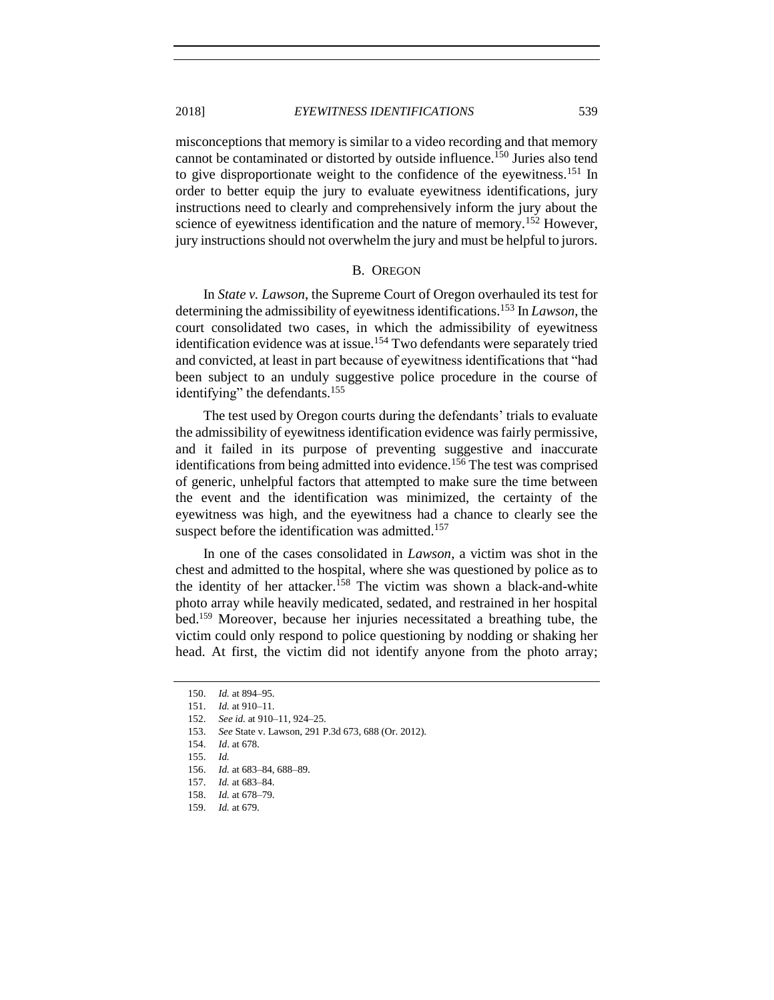misconceptions that memory is similar to a video recording and that memory cannot be contaminated or distorted by outside influence.<sup>150</sup> Juries also tend to give disproportionate weight to the confidence of the eyewitness.<sup>151</sup> In order to better equip the jury to evaluate eyewitness identifications, jury instructions need to clearly and comprehensively inform the jury about the science of eyewitness identification and the nature of memory.<sup>152</sup> However, jury instructions should not overwhelm the jury and must be helpful to jurors.

#### B. OREGON

<span id="page-16-0"></span>In *State v. Lawson*, the Supreme Court of Oregon overhauled its test for determining the admissibility of eyewitness identifications.<sup>153</sup> In *Lawson*, the court consolidated two cases, in which the admissibility of eyewitness identification evidence was at issue.<sup>154</sup> Two defendants were separately tried and convicted, at least in part because of eyewitness identifications that "had been subject to an unduly suggestive police procedure in the course of identifying" the defendants.<sup>155</sup>

The test used by Oregon courts during the defendants' trials to evaluate the admissibility of eyewitness identification evidence was fairly permissive, and it failed in its purpose of preventing suggestive and inaccurate identifications from being admitted into evidence.<sup>156</sup> The test was comprised of generic, unhelpful factors that attempted to make sure the time between the event and the identification was minimized, the certainty of the eyewitness was high, and the eyewitness had a chance to clearly see the suspect before the identification was admitted.<sup>157</sup>

In one of the cases consolidated in *Lawson*, a victim was shot in the chest and admitted to the hospital, where she was questioned by police as to the identity of her attacker.<sup>158</sup> The victim was shown a black-and-white photo array while heavily medicated, sedated, and restrained in her hospital bed.<sup>159</sup> Moreover, because her injuries necessitated a breathing tube, the victim could only respond to police questioning by nodding or shaking her head. At first, the victim did not identify anyone from the photo array;

<sup>150.</sup> *Id.* at 894–95.

<sup>151.</sup> *Id.* at 910–11.

<sup>152.</sup> *See id.* at 910–11, 924–25.

<sup>153.</sup> *See* State v. Lawson, 291 P.3d 673, 688 (Or. 2012).

<sup>154.</sup> *Id*. at 678.

<sup>155.</sup> *Id.*

<sup>156.</sup> *Id.* at 683–84, 688–89.

<sup>157.</sup> *Id.* at 683–84.

<sup>158.</sup> *Id.* at 678–79.

<sup>159.</sup> *Id.* at 679.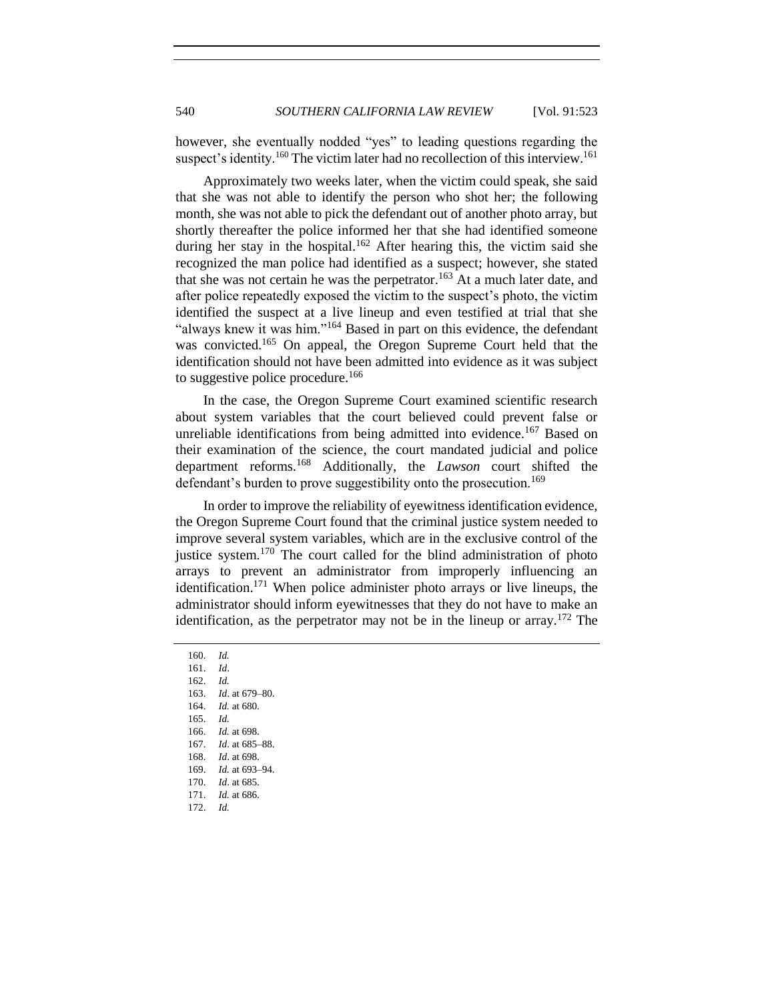however, she eventually nodded "yes" to leading questions regarding the suspect's identity.<sup>160</sup> The victim later had no recollection of this interview.<sup>161</sup>

Approximately two weeks later, when the victim could speak, she said that she was not able to identify the person who shot her; the following month, she was not able to pick the defendant out of another photo array, but shortly thereafter the police informed her that she had identified someone during her stay in the hospital.<sup>162</sup> After hearing this, the victim said she recognized the man police had identified as a suspect; however, she stated that she was not certain he was the perpetrator.<sup>163</sup> At a much later date, and after police repeatedly exposed the victim to the suspect's photo, the victim identified the suspect at a live lineup and even testified at trial that she "always knew it was him."<sup>164</sup> Based in part on this evidence, the defendant was convicted.<sup>165</sup> On appeal, the Oregon Supreme Court held that the identification should not have been admitted into evidence as it was subject to suggestive police procedure.<sup>166</sup>

In the case, the Oregon Supreme Court examined scientific research about system variables that the court believed could prevent false or unreliable identifications from being admitted into evidence.<sup>167</sup> Based on their examination of the science, the court mandated judicial and police department reforms.<sup>168</sup> Additionally, the *Lawson* court shifted the defendant's burden to prove suggestibility onto the prosecution.<sup>169</sup>

In order to improve the reliability of eyewitness identification evidence, the Oregon Supreme Court found that the criminal justice system needed to improve several system variables, which are in the exclusive control of the justice system.<sup>170</sup> The court called for the blind administration of photo arrays to prevent an administrator from improperly influencing an identification.<sup>171</sup> When police administer photo arrays or live lineups, the administrator should inform eyewitnesses that they do not have to make an identification, as the perpetrator may not be in the lineup or array.<sup>172</sup> The

161. *Id*. 162. *Id.* 163. *Id*. at 679–80. 164. *Id.* at 680. 165. *Id.* 166. *Id.* at 698. 167. *Id*. at 685–88. 168. *Id*. at 698. 169. *Id.* at 693–94. 170. *Id*. at 685. 171. *Id.* at 686. 172. *Id.*

<sup>160.</sup> *Id.*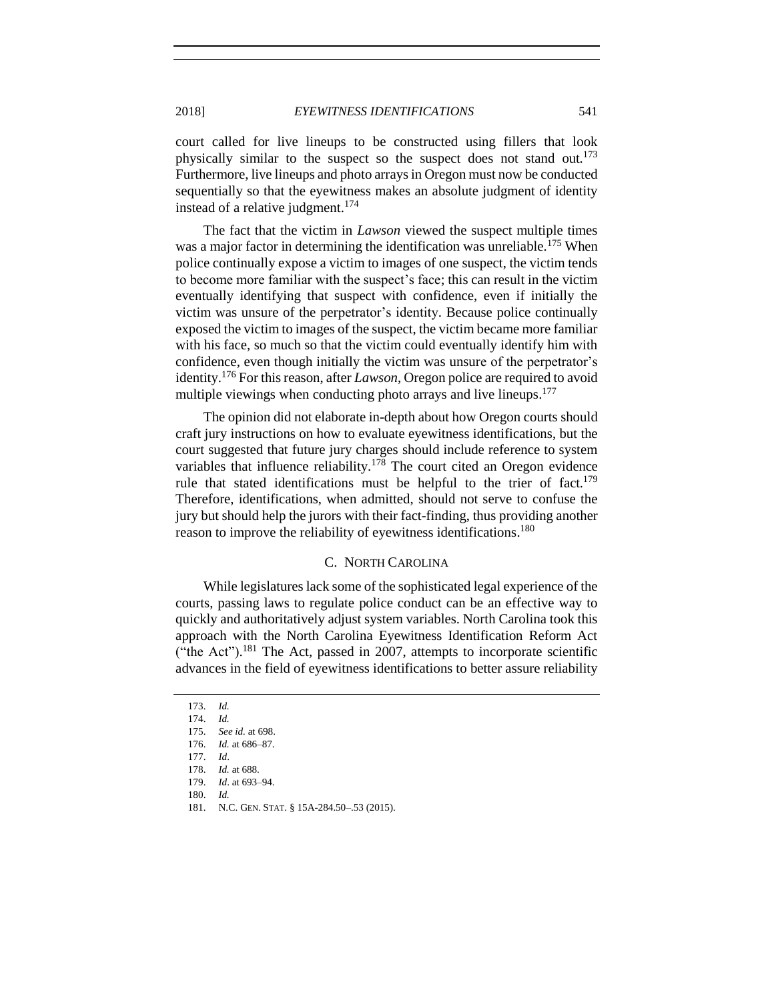court called for live lineups to be constructed using fillers that look physically similar to the suspect so the suspect does not stand out.<sup>173</sup> Furthermore, live lineups and photo arrays in Oregon must now be conducted sequentially so that the eyewitness makes an absolute judgment of identity instead of a relative judgment.<sup>174</sup>

The fact that the victim in *Lawson* viewed the suspect multiple times was a major factor in determining the identification was unreliable.<sup>175</sup> When police continually expose a victim to images of one suspect, the victim tends to become more familiar with the suspect's face; this can result in the victim eventually identifying that suspect with confidence, even if initially the victim was unsure of the perpetrator's identity. Because police continually exposed the victim to images of the suspect, the victim became more familiar with his face, so much so that the victim could eventually identify him with confidence, even though initially the victim was unsure of the perpetrator's identity.<sup>176</sup> For this reason, after *Lawson*, Oregon police are required to avoid multiple viewings when conducting photo arrays and live lineups.<sup>177</sup>

The opinion did not elaborate in-depth about how Oregon courts should craft jury instructions on how to evaluate eyewitness identifications, but the court suggested that future jury charges should include reference to system variables that influence reliability.<sup>178</sup> The court cited an Oregon evidence rule that stated identifications must be helpful to the trier of  $fact.^{179}$ Therefore, identifications, when admitted, should not serve to confuse the jury but should help the jurors with their fact-finding, thus providing another reason to improve the reliability of eyewitness identifications.<sup>180</sup>

## C. NORTH CAROLINA

<span id="page-18-0"></span>While legislatures lack some of the sophisticated legal experience of the courts, passing laws to regulate police conduct can be an effective way to quickly and authoritatively adjust system variables. North Carolina took this approach with the North Carolina Eyewitness Identification Reform Act ("the Act").<sup>181</sup> The Act, passed in 2007, attempts to incorporate scientific advances in the field of eyewitness identifications to better assure reliability

<sup>173.</sup> *Id.*

<sup>174.</sup> *Id.*

<sup>175.</sup> *See id.* at 698.

<sup>176.</sup> *Id.* at 686–87.

<sup>177.</sup> *Id*.

<sup>178.</sup> *Id.* at 688.

<sup>179.</sup> *Id*. at 693–94.

<sup>180.</sup> *Id.*

<sup>181.</sup> N.C. GEN. STAT. § 15A-284.50–.53 (2015).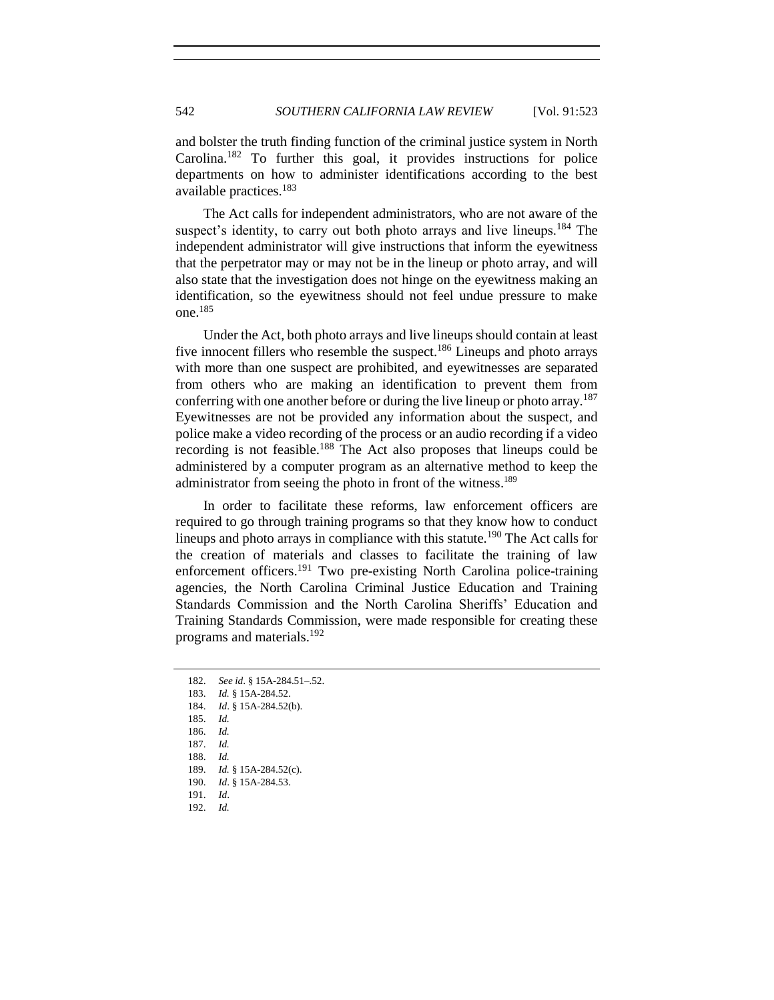and bolster the truth finding function of the criminal justice system in North Carolina.<sup>182</sup> To further this goal, it provides instructions for police departments on how to administer identifications according to the best available practices.<sup>183</sup>

The Act calls for independent administrators, who are not aware of the suspect's identity, to carry out both photo arrays and live lineups.<sup>184</sup> The independent administrator will give instructions that inform the eyewitness that the perpetrator may or may not be in the lineup or photo array, and will also state that the investigation does not hinge on the eyewitness making an identification, so the eyewitness should not feel undue pressure to make one.<sup>185</sup>

Under the Act, both photo arrays and live lineups should contain at least five innocent fillers who resemble the suspect.<sup>186</sup> Lineups and photo arrays with more than one suspect are prohibited, and eyewitnesses are separated from others who are making an identification to prevent them from conferring with one another before or during the live lineup or photo array.<sup>187</sup> Eyewitnesses are not be provided any information about the suspect, and police make a video recording of the process or an audio recording if a video recording is not feasible.<sup>188</sup> The Act also proposes that lineups could be administered by a computer program as an alternative method to keep the administrator from seeing the photo in front of the witness.<sup>189</sup>

In order to facilitate these reforms, law enforcement officers are required to go through training programs so that they know how to conduct lineups and photo arrays in compliance with this statute.<sup>190</sup> The Act calls for the creation of materials and classes to facilitate the training of law enforcement officers.<sup>191</sup> Two pre-existing North Carolina police-training agencies, the North Carolina Criminal Justice Education and Training Standards Commission and the North Carolina Sheriffs' Education and Training Standards Commission, were made responsible for creating these programs and materials.<sup>192</sup>

<sup>182.</sup> *See id*. § 15A-284.51–.52. 183. *Id.* § 15A-284.52. 184. *Id*. § 15A-284.52(b). 185. *Id.* 186. *Id.* 187. *Id.* 188. *Id.* 189. *Id.* § 15A-284.52(c). 190. *Id*. § 15A-284.53. 191. *Id*. 192. *Id.*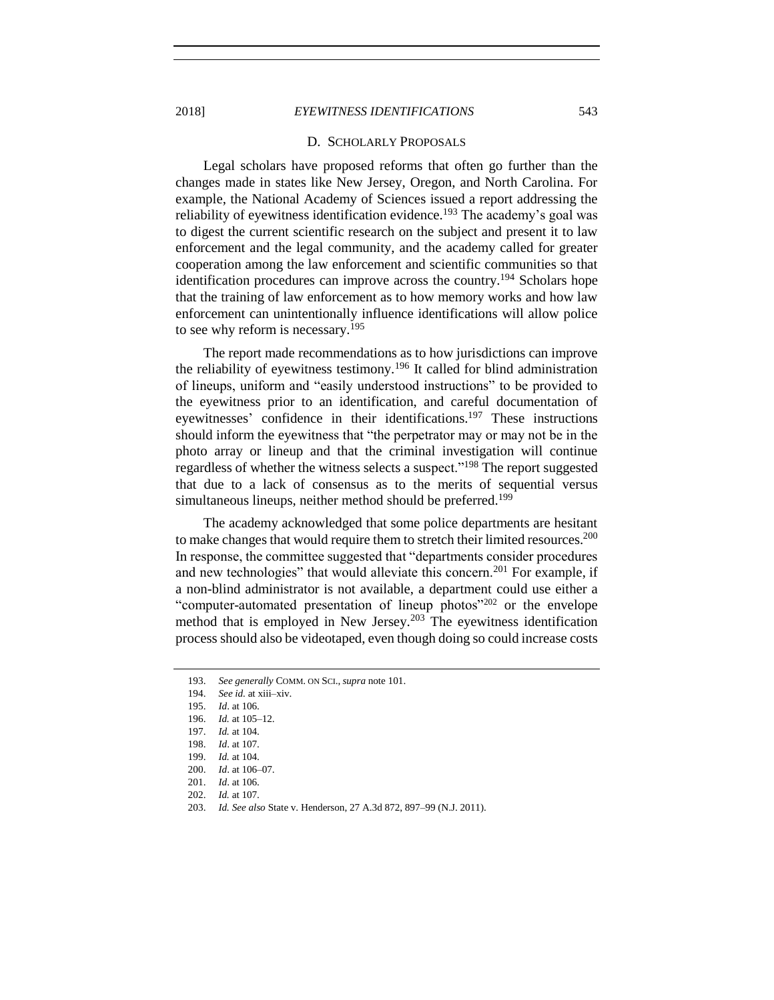#### D. SCHOLARLY PROPOSALS

Legal scholars have proposed reforms that often go further than the changes made in states like New Jersey, Oregon, and North Carolina. For example, the National Academy of Sciences issued a report addressing the reliability of eyewitness identification evidence.<sup>193</sup> The academy's goal was to digest the current scientific research on the subject and present it to law enforcement and the legal community, and the academy called for greater cooperation among the law enforcement and scientific communities so that identification procedures can improve across the country.<sup>194</sup> Scholars hope that the training of law enforcement as to how memory works and how law enforcement can unintentionally influence identifications will allow police to see why reform is necessary.<sup>195</sup>

The report made recommendations as to how jurisdictions can improve the reliability of eyewitness testimony.<sup>196</sup> It called for blind administration of lineups, uniform and "easily understood instructions" to be provided to the eyewitness prior to an identification, and careful documentation of eyewitnesses' confidence in their identifications. <sup>197</sup> These instructions should inform the eyewitness that "the perpetrator may or may not be in the photo array or lineup and that the criminal investigation will continue regardless of whether the witness selects a suspect."<sup>198</sup> The report suggested that due to a lack of consensus as to the merits of sequential versus simultaneous lineups, neither method should be preferred.<sup>199</sup>

The academy acknowledged that some police departments are hesitant to make changes that would require them to stretch their limited resources.<sup>200</sup> In response, the committee suggested that "departments consider procedures and new technologies" that would alleviate this concern.<sup>201</sup> For example, if a non-blind administrator is not available, a department could use either a "computer-automated presentation of lineup photos"<sup>202</sup> or the envelope method that is employed in New Jersey.<sup>203</sup> The eyewitness identification process should also be videotaped, even though doing so could increase costs

<span id="page-20-0"></span>

<sup>193.</sup> *See generally* COMM. ON SCI., *supra* not[e 101.](#page-11-0)

<sup>194.</sup> *See id.* at xiii–xiv.

<sup>195.</sup> *Id*. at 106.

<sup>196.</sup> *Id.* at 105–12.

<sup>197.</sup> *Id.* at 104.

<sup>198.</sup> *Id*. at 107.

<sup>199.</sup> *Id.* at 104.

<sup>200.</sup> *Id*. at 106–07.

<sup>201.</sup> *Id*. at 106.

<sup>202.</sup> *Id.* at 107.

<sup>203.</sup> *Id. See also* State v. Henderson, 27 A.3d 872, 897–99 (N.J. 2011).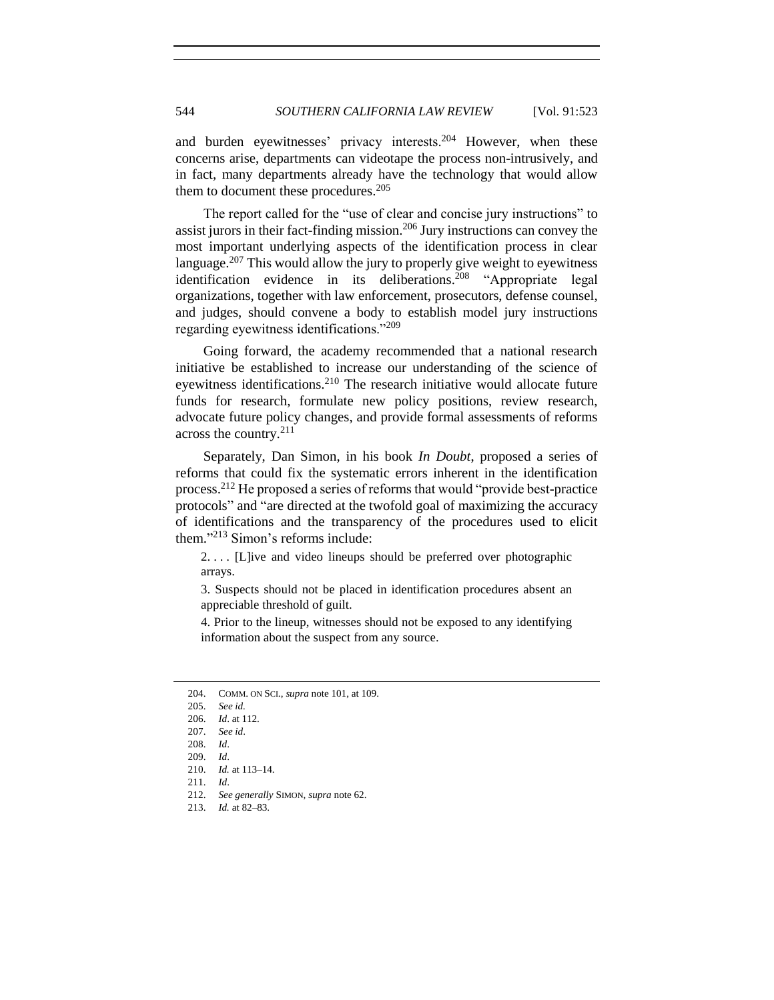and burden eyewitnesses' privacy interests.<sup>204</sup> However, when these concerns arise, departments can videotape the process non-intrusively, and in fact, many departments already have the technology that would allow them to document these procedures. $205$ 

The report called for the "use of clear and concise jury instructions" to assist jurors in their fact-finding mission.<sup>206</sup> Jury instructions can convey the most important underlying aspects of the identification process in clear language.<sup>207</sup> This would allow the jury to properly give weight to eyewitness identification evidence in its deliberations.<sup>208</sup> "Appropriate legal organizations, together with law enforcement, prosecutors, defense counsel, and judges, should convene a body to establish model jury instructions regarding eyewitness identifications."<sup>209</sup>

Going forward, the academy recommended that a national research initiative be established to increase our understanding of the science of eyewitness identifications.<sup>210</sup> The research initiative would allocate future funds for research, formulate new policy positions, review research, advocate future policy changes, and provide formal assessments of reforms across the country.<sup>211</sup>

Separately, Dan Simon, in his book *In Doubt*, proposed a series of reforms that could fix the systematic errors inherent in the identification process.<sup>212</sup> He proposed a series of reforms that would "provide best-practice protocols" and "are directed at the twofold goal of maximizing the accuracy of identifications and the transparency of the procedures used to elicit them." <sup>213</sup> Simon's reforms include:

2. . . . [L]ive and video lineups should be preferred over photographic arrays.

3. Suspects should not be placed in identification procedures absent an appreciable threshold of guilt.

4. Prior to the lineup, witnesses should not be exposed to any identifying information about the suspect from any source.

213. *Id.* at 82–83.

<sup>204.</sup> COMM. ON SCI., *supra* not[e 101,](#page-11-0) at 109.

<sup>205.</sup> *See id.*

<sup>206.</sup> *Id*. at 112.

<sup>207.</sup> *See id*.

<sup>208.</sup> *Id*.

<sup>209.</sup> *Id*.

<sup>210.</sup> *Id.* at 113–14.

<sup>211.</sup> *Id*.

<sup>212.</sup> *See generally* SIMON, *supra* not[e 62.](#page-7-1)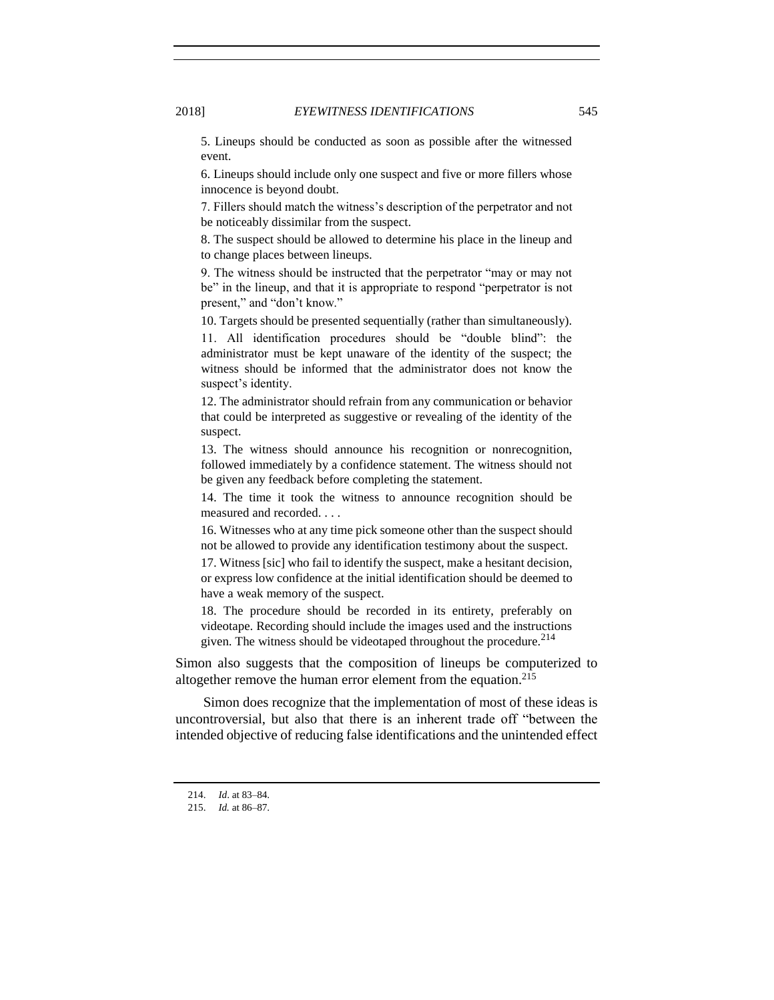5. Lineups should be conducted as soon as possible after the witnessed event.

6. Lineups should include only one suspect and five or more fillers whose innocence is beyond doubt.

7. Fillers should match the witness's description of the perpetrator and not be noticeably dissimilar from the suspect.

8. The suspect should be allowed to determine his place in the lineup and to change places between lineups.

9. The witness should be instructed that the perpetrator "may or may not be" in the lineup, and that it is appropriate to respond "perpetrator is not present," and "don't know."

10. Targets should be presented sequentially (rather than simultaneously).

11. All identification procedures should be "double blind": the administrator must be kept unaware of the identity of the suspect; the witness should be informed that the administrator does not know the suspect's identity.

12. The administrator should refrain from any communication or behavior that could be interpreted as suggestive or revealing of the identity of the suspect.

13. The witness should announce his recognition or nonrecognition, followed immediately by a confidence statement. The witness should not be given any feedback before completing the statement.

14. The time it took the witness to announce recognition should be measured and recorded. . . .

16. Witnesses who at any time pick someone other than the suspect should not be allowed to provide any identification testimony about the suspect.

17. Witness [sic] who fail to identify the suspect, make a hesitant decision, or express low confidence at the initial identification should be deemed to have a weak memory of the suspect.

18. The procedure should be recorded in its entirety, preferably on videotape. Recording should include the images used and the instructions given. The witness should be videotaped throughout the procedure.<sup>214</sup>

Simon also suggests that the composition of lineups be computerized to altogether remove the human error element from the equation.<sup>215</sup>

Simon does recognize that the implementation of most of these ideas is uncontroversial, but also that there is an inherent trade off "between the intended objective of reducing false identifications and the unintended effect

<sup>214.</sup> *Id*. at 83–84.

<sup>215.</sup> *Id.* at 86–87.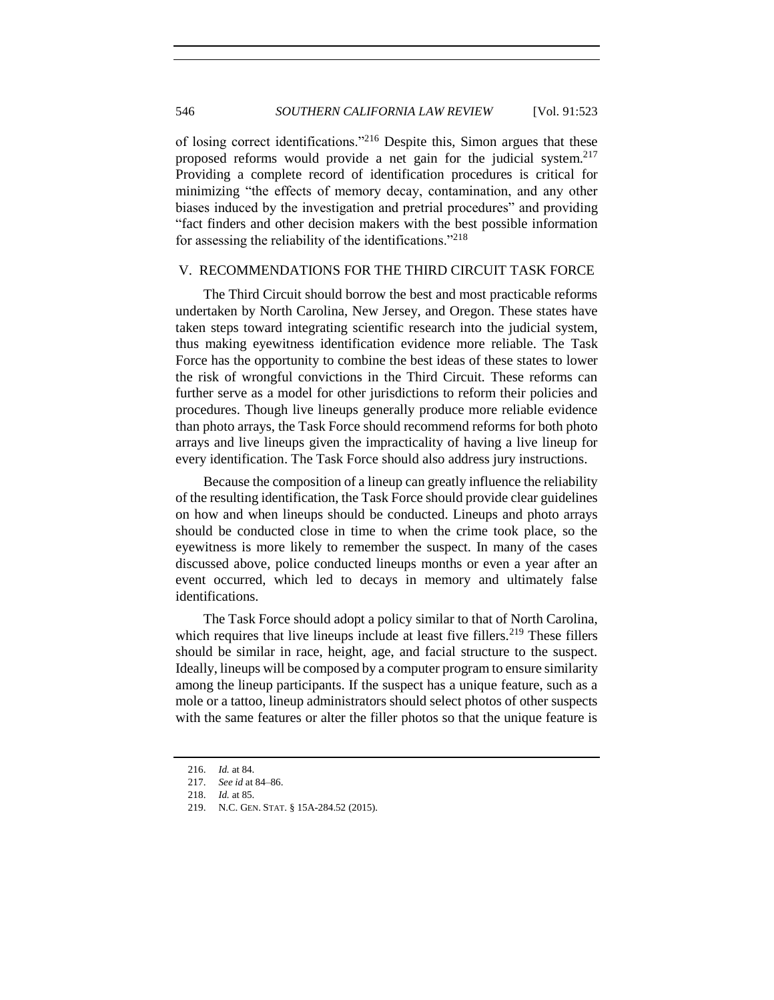of losing correct identifications."<sup>216</sup> Despite this, Simon argues that these proposed reforms would provide a net gain for the judicial system.<sup>217</sup> Providing a complete record of identification procedures is critical for minimizing "the effects of memory decay, contamination, and any other biases induced by the investigation and pretrial procedures" and providing "fact finders and other decision makers with the best possible information for assessing the reliability of the identifications."<sup>218</sup>

## <span id="page-23-0"></span>V. RECOMMENDATIONS FOR THE THIRD CIRCUIT TASK FORCE

The Third Circuit should borrow the best and most practicable reforms undertaken by North Carolina, New Jersey, and Oregon. These states have taken steps toward integrating scientific research into the judicial system, thus making eyewitness identification evidence more reliable. The Task Force has the opportunity to combine the best ideas of these states to lower the risk of wrongful convictions in the Third Circuit. These reforms can further serve as a model for other jurisdictions to reform their policies and procedures. Though live lineups generally produce more reliable evidence than photo arrays, the Task Force should recommend reforms for both photo arrays and live lineups given the impracticality of having a live lineup for every identification. The Task Force should also address jury instructions.

Because the composition of a lineup can greatly influence the reliability of the resulting identification, the Task Force should provide clear guidelines on how and when lineups should be conducted. Lineups and photo arrays should be conducted close in time to when the crime took place, so the eyewitness is more likely to remember the suspect. In many of the cases discussed above, police conducted lineups months or even a year after an event occurred, which led to decays in memory and ultimately false identifications.

The Task Force should adopt a policy similar to that of North Carolina, which requires that live lineups include at least five fillers.<sup>219</sup> These fillers should be similar in race, height, age, and facial structure to the suspect. Ideally, lineups will be composed by a computer program to ensure similarity among the lineup participants. If the suspect has a unique feature, such as a mole or a tattoo, lineup administrators should select photos of other suspects with the same features or alter the filler photos so that the unique feature is

<sup>216.</sup> *Id.* at 84.

<sup>217.</sup> *See id* at 84–86.

<sup>218.</sup> *Id.* at 85.

<sup>219.</sup> N.C. GEN. STAT. § 15A-284.52 (2015).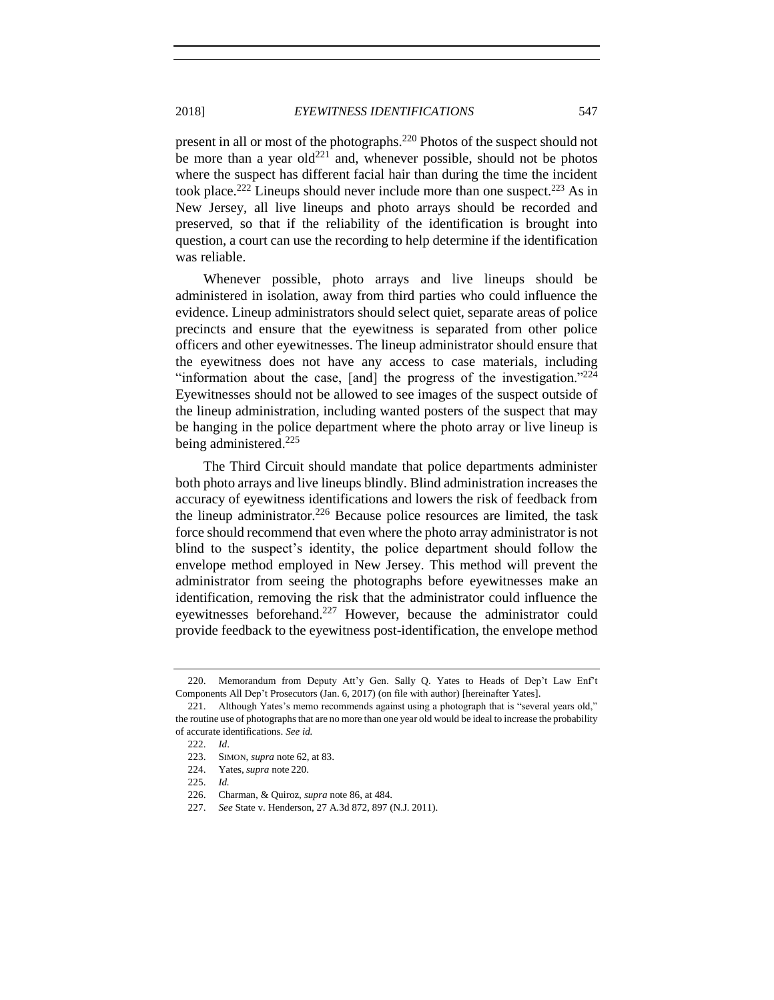<span id="page-24-0"></span>present in all or most of the photographs.<sup>220</sup> Photos of the suspect should not be more than a year old<sup>221</sup> and, whenever possible, should not be photos where the suspect has different facial hair than during the time the incident took place.<sup>222</sup> Lineups should never include more than one suspect.<sup>223</sup> As in New Jersey, all live lineups and photo arrays should be recorded and preserved, so that if the reliability of the identification is brought into question, a court can use the recording to help determine if the identification was reliable.

Whenever possible, photo arrays and live lineups should be administered in isolation, away from third parties who could influence the evidence. Lineup administrators should select quiet, separate areas of police precincts and ensure that the eyewitness is separated from other police officers and other eyewitnesses. The lineup administrator should ensure that the eyewitness does not have any access to case materials, including "information about the case, [and] the progress of the investigation." $224$ Eyewitnesses should not be allowed to see images of the suspect outside of the lineup administration, including wanted posters of the suspect that may be hanging in the police department where the photo array or live lineup is being administered.<sup>225</sup>

The Third Circuit should mandate that police departments administer both photo arrays and live lineups blindly. Blind administration increases the accuracy of eyewitness identifications and lowers the risk of feedback from the lineup administrator.<sup>226</sup> Because police resources are limited, the task force should recommend that even where the photo array administrator is not blind to the suspect's identity, the police department should follow the envelope method employed in New Jersey. This method will prevent the administrator from seeing the photographs before eyewitnesses make an identification, removing the risk that the administrator could influence the eyewitnesses beforehand.<sup>227</sup> However, because the administrator could provide feedback to the eyewitness post-identification, the envelope method

<sup>220.</sup> Memorandum from Deputy Att'y Gen. Sally Q. Yates to Heads of Dep't Law Enf't Components All Dep't Prosecutors (Jan. 6, 2017) (on file with author) [hereinafter Yates].

<sup>221.</sup> Although Yates's memo recommends against using a photograph that is "several years old," the routine use of photographs that are no more than one year old would be ideal to increase the probability of accurate identifications. *See id.*

<sup>222.</sup> *Id*.

<sup>223.</sup> SIMON, *supra* note [62,](#page-7-1) at 83.

<sup>224.</sup> Yates, *supra* note [220.](#page-24-0)

<sup>225.</sup> *Id.*

<sup>226.</sup> Charman, & Quiroz, *supra* note [86,](#page-9-2) at 484.

<sup>227.</sup> *See* State v. Henderson, 27 A.3d 872, 897 (N.J. 2011).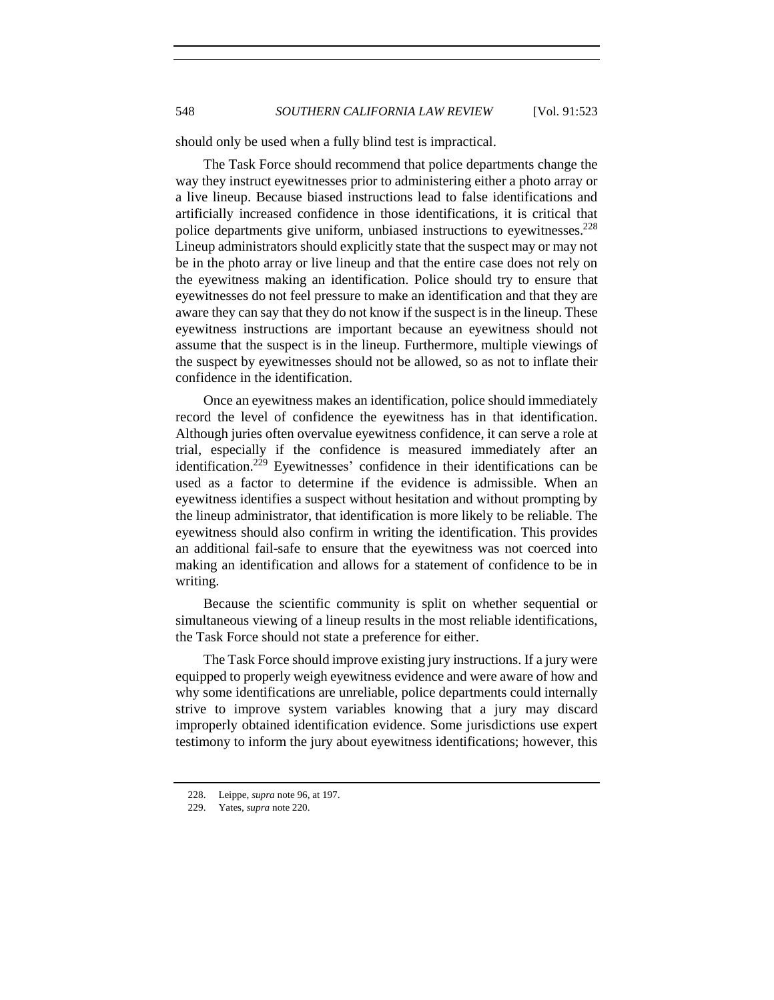should only be used when a fully blind test is impractical.

The Task Force should recommend that police departments change the way they instruct eyewitnesses prior to administering either a photo array or a live lineup. Because biased instructions lead to false identifications and artificially increased confidence in those identifications, it is critical that police departments give uniform, unbiased instructions to eyewitnesses. $228$ Lineup administrators should explicitly state that the suspect may or may not be in the photo array or live lineup and that the entire case does not rely on the eyewitness making an identification. Police should try to ensure that eyewitnesses do not feel pressure to make an identification and that they are aware they can say that they do not know if the suspect is in the lineup. These eyewitness instructions are important because an eyewitness should not assume that the suspect is in the lineup. Furthermore, multiple viewings of the suspect by eyewitnesses should not be allowed, so as not to inflate their confidence in the identification.

Once an eyewitness makes an identification, police should immediately record the level of confidence the eyewitness has in that identification. Although juries often overvalue eyewitness confidence, it can serve a role at trial, especially if the confidence is measured immediately after an identification.<sup>229</sup> Eyewitnesses' confidence in their identifications can be used as a factor to determine if the evidence is admissible. When an eyewitness identifies a suspect without hesitation and without prompting by the lineup administrator, that identification is more likely to be reliable. The eyewitness should also confirm in writing the identification. This provides an additional fail-safe to ensure that the eyewitness was not coerced into making an identification and allows for a statement of confidence to be in writing.

Because the scientific community is split on whether sequential or simultaneous viewing of a lineup results in the most reliable identifications, the Task Force should not state a preference for either.

The Task Force should improve existing jury instructions. If a jury were equipped to properly weigh eyewitness evidence and were aware of how and why some identifications are unreliable, police departments could internally strive to improve system variables knowing that a jury may discard improperly obtained identification evidence. Some jurisdictions use expert testimony to inform the jury about eyewitness identifications; however, this

<sup>228.</sup> Leippe, *supra* not[e 96,](#page-10-0) at 197.

<sup>229.</sup> Yates, *supra* not[e 220.](#page-24-0)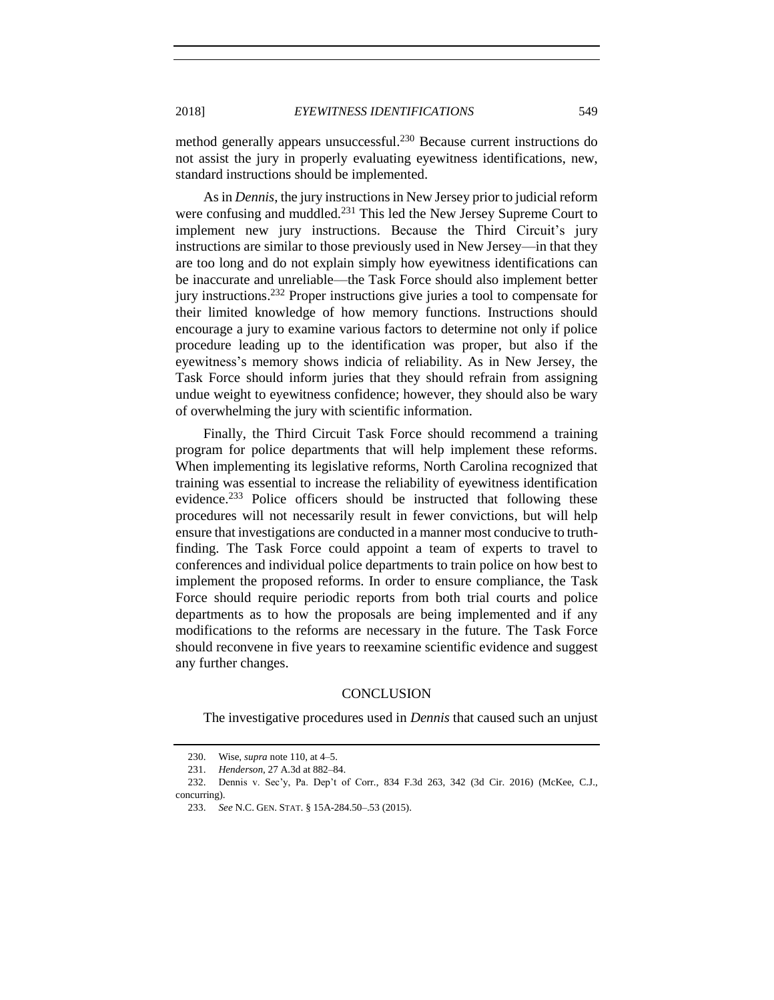method generally appears unsuccessful.<sup>230</sup> Because current instructions do not assist the jury in properly evaluating eyewitness identifications, new, standard instructions should be implemented.

As in *Dennis*, the jury instructions in New Jersey prior to judicial reform were confusing and muddled.<sup>231</sup> This led the New Jersey Supreme Court to implement new jury instructions. Because the Third Circuit's jury instructions are similar to those previously used in New Jersey—in that they are too long and do not explain simply how eyewitness identifications can be inaccurate and unreliable—the Task Force should also implement better jury instructions. <sup>232</sup> Proper instructions give juries a tool to compensate for their limited knowledge of how memory functions. Instructions should encourage a jury to examine various factors to determine not only if police procedure leading up to the identification was proper, but also if the eyewitness's memory shows indicia of reliability. As in New Jersey, the Task Force should inform juries that they should refrain from assigning undue weight to eyewitness confidence; however, they should also be wary of overwhelming the jury with scientific information.

Finally, the Third Circuit Task Force should recommend a training program for police departments that will help implement these reforms. When implementing its legislative reforms, North Carolina recognized that training was essential to increase the reliability of eyewitness identification evidence.<sup>233</sup> Police officers should be instructed that following these procedures will not necessarily result in fewer convictions, but will help ensure that investigations are conducted in a manner most conducive to truthfinding. The Task Force could appoint a team of experts to travel to conferences and individual police departments to train police on how best to implement the proposed reforms. In order to ensure compliance, the Task Force should require periodic reports from both trial courts and police departments as to how the proposals are being implemented and if any modifications to the reforms are necessary in the future. The Task Force should reconvene in five years to reexamine scientific evidence and suggest any further changes.

## **CONCLUSION**

<span id="page-26-0"></span>The investigative procedures used in *Dennis* that caused such an unjust

<sup>230.</sup> Wise, *supra* not[e 110,](#page-12-1) at 4–5.

<sup>231.</sup> *Henderson*, 27 A.3d at 882–84.

<sup>232.</sup> Dennis v. Sec'y, Pa. Dep't of Corr*.*, 834 F.3d 263, 342 (3d Cir. 2016) (McKee, C.J., concurring).

<sup>233.</sup> *See* N.C. GEN. STAT. § 15A-284.50–.53 (2015).